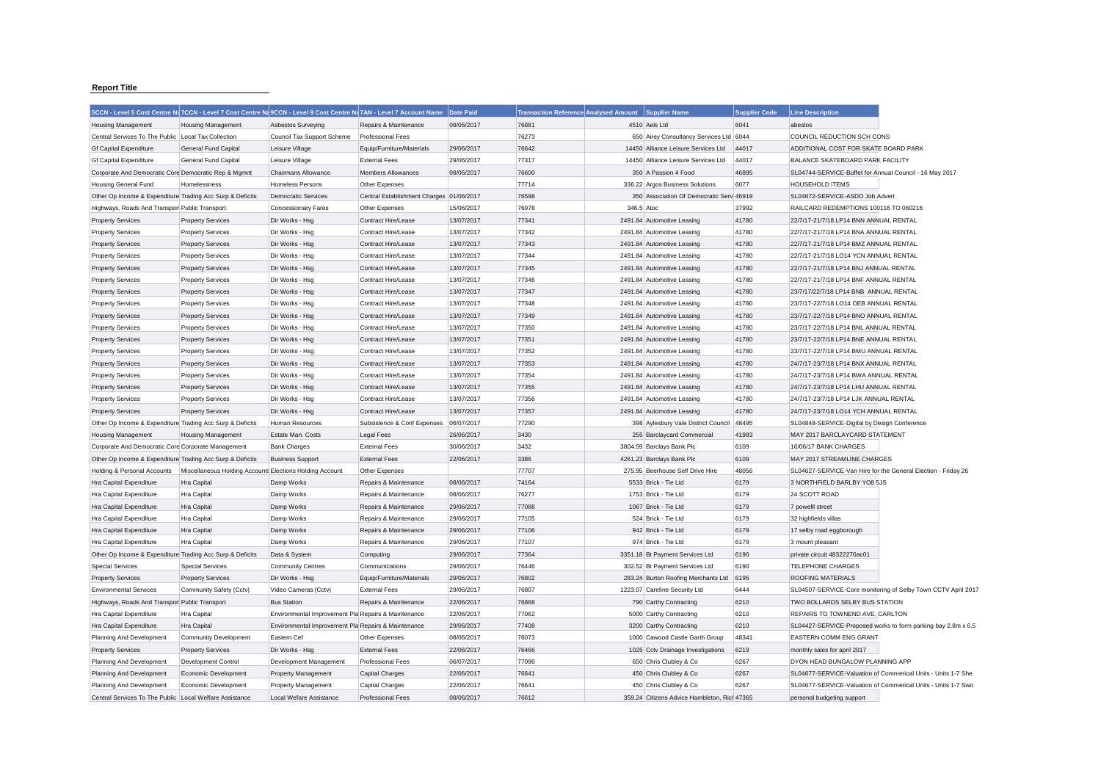## **Report Title**

|                                                           |                                                          | 5CCN - Level 5 Cost Centre Na 7CCN - Level 7 Cost Centre Na 9CCN - Level 9 Cost Centre Na 7AN - Level 7 Account Name |                                          | Date Paid  | Transaction Reference Analysed Amount Supplier Name |            |                                              | <b>Supplier Code</b> | <b>Line Description</b>                                       |                                                               |
|-----------------------------------------------------------|----------------------------------------------------------|----------------------------------------------------------------------------------------------------------------------|------------------------------------------|------------|-----------------------------------------------------|------------|----------------------------------------------|----------------------|---------------------------------------------------------------|---------------------------------------------------------------|
| <b>Housing Management</b>                                 | <b>Housing Management</b>                                | Asbestos Surveying                                                                                                   | Repairs & Maintenance                    | 08/06/2017 | 76881                                               |            | 4510 Aels Ltd                                | 6041                 | abestos                                                       |                                                               |
| Central Services To The Public Local Tax Collection       |                                                          | Council Tax Support Scheme                                                                                           | <b>Professional Fees</b>                 |            | 76273                                               |            | 650 Airey Consultancy Services Ltd 6044      |                      | COUNCIL REDUCTION SCH CONS                                    |                                                               |
| <b>Gf Capital Expenditure</b>                             | General Fund Capital                                     | Leisure Village                                                                                                      | Equip/Furniture/Materials                | 29/06/2017 | 76642                                               |            | 14450 Alliance Leisure Services Ltd          | 44017                | ADDITIONAL COST FOR SKATE BOARD PARK                          |                                                               |
| <b>Gf Capital Expenditure</b>                             | General Fund Capital                                     | Leisure Village                                                                                                      | <b>External Fees</b>                     | 29/06/2017 | 77317                                               |            | 14450 Alliance Leisure Services Ltd          | 44017                | BALANCE SKATEBOARD PARK FACILITY                              |                                                               |
| Corporate And Democratic Core Democratic Rep & Mgmnt      |                                                          | Chairmans Allowance                                                                                                  | <b>Members Allowances</b>                | 08/06/2017 | 76600                                               |            | 350 A Passion 4 Food                         | 46895                | SL04744-SERVICE-Buffet for Annual Council - 16 May 2017       |                                                               |
| <b>Housing General Fund</b>                               | Homelessness                                             | <b>Homeless Persons</b>                                                                                              | Other Expenses                           |            | 77714                                               |            | 336.22 Argos Business Solutions              | 6077                 | <b>HOUSEHOLD ITEMS</b>                                        |                                                               |
| Other Op Income & Expenditure Trading Acc Surp & Deficits |                                                          | <b>Democratic Services</b>                                                                                           | Central Establishment Charges 01/06/2017 |            | 76598                                               |            | 350 Association Of Democratic Serv 46919     |                      | SL04672-SERVICE-ASDO Job Advert                               |                                                               |
| Highways, Roads And Transpor Public Transport             |                                                          | <b>Concessionary Fares</b>                                                                                           | Other Expenses                           | 15/06/2017 | 76978                                               | 346.5 Atoc |                                              | 37992                | RAILCARD REDEMPTIONS 100116 TO 060216                         |                                                               |
| <b>Property Services</b>                                  | <b>Property Services</b>                                 | Dir Works - Hsg                                                                                                      | Contract Hire/Lease                      | 13/07/2017 | 77341                                               |            | 2491.84 Automotive Leasing                   | 41780                | 22/7/17-21/7/18 LP14 BNN ANNUAL RENTAL                        |                                                               |
| <b>Property Services</b>                                  | <b>Property Services</b>                                 | Dir Works - Hsg                                                                                                      | Contract Hire/Lease                      | 13/07/2017 | 77342                                               |            | 2491.84 Automotive Leasing                   | 41780                | 22/7/17-21/7/18 LP14 BNA ANNUAL RENTAL                        |                                                               |
| <b>Property Services</b>                                  | <b>Property Services</b>                                 | Dir Works - Hsg                                                                                                      | Contract Hire/Lease                      | 13/07/2017 | 77343                                               |            | 2491.84 Automotive Leasing                   | 41780                | 22/7/17-21/7/18 LP14 BMZ ANNUAL RENTAL                        |                                                               |
| <b>Property Services</b>                                  | <b>Property Services</b>                                 | Dir Works - Hsg                                                                                                      | Contract Hire/Lease                      | 13/07/2017 | 77344                                               |            | 2491.84 Automotive Leasing                   | 41780                | 22/7/17-21/7/18 LO14 YCN ANNUAL RENTAL                        |                                                               |
| <b>Property Services</b>                                  | <b>Property Services</b>                                 | Dir Works - Hsg                                                                                                      | Contract Hire/Lease                      | 13/07/2017 | 77345                                               |            | 2491.84 Automotive Leasing                   | 41780                | 22/7/17-21/7/18 LP14 BNJ ANNUAL RENTAL                        |                                                               |
| <b>Property Services</b>                                  | <b>Property Services</b>                                 | Dir Works - Hsg                                                                                                      | Contract Hire/Lease                      | 13/07/2017 | 77346                                               |            | 2491.84 Automotive Leasing                   | 41780                | 22/7/17-21/7/18 LP14 BNF ANNUAL RENTAL                        |                                                               |
| <b>Property Services</b>                                  | <b>Property Services</b>                                 | Dir Works - Hsg                                                                                                      | <b>Contract Hire/Lease</b>               | 13/07/2017 | 77347                                               |            | 2491.84 Automotive Leasing                   | 41780                | 23/7/17/22/7/18 LP14 BNB ANNUAL RENTAL                        |                                                               |
| <b>Property Services</b>                                  | <b>Property Services</b>                                 | Dir Works - Hsg                                                                                                      | Contract Hire/Lease                      | 13/07/2017 | 77348                                               |            | 2491.84 Automotive Leasing                   | 41780                | 23/7/17-22/7/18 LO14 OEB ANNUAL RENTAL                        |                                                               |
| <b>Property Services</b>                                  | <b>Property Services</b>                                 | Dir Works - Hsg                                                                                                      | Contract Hire/Lease                      | 13/07/2017 | 77349                                               |            | 2491.84 Automotive Leasing                   | 41780                | 23/7/17-22/7/18 LP14 BNO ANNUAL RENTAL                        |                                                               |
| <b>Property Services</b>                                  | <b>Property Services</b>                                 | Dir Works - Hsg                                                                                                      | Contract Hire/Lease                      | 13/07/2017 | 77350                                               |            | 2491.84 Automotive Leasing                   | 41780                | 23/7/17-22/7/18 LP14 BNL ANNUAL RENTAL                        |                                                               |
| <b>Property Services</b>                                  | <b>Property Services</b>                                 | Dir Works - Hsg                                                                                                      | Contract Hire/Lease                      | 13/07/2017 | 77351                                               |            | 2491.84 Automotive Leasing                   | 41780                | 23/7/17-22/7/18 LP14 BNE ANNUAL RENTAL                        |                                                               |
| <b>Property Services</b>                                  | <b>Property Services</b>                                 | Dir Works - Hsg                                                                                                      | Contract Hire/Lease                      | 13/07/2017 | 77352                                               |            | 2491.84 Automotive Leasing                   | 41780                | 23/7/17-22/7/18 LP14 BMU ANNUAL RENTAL                        |                                                               |
| <b>Property Services</b>                                  | <b>Property Services</b>                                 | Dir Works - Hsg                                                                                                      | Contract Hire/Lease                      | 13/07/2017 | 77353                                               |            | 2491.84 Automotive Leasing                   | 41780                | 24/7/17-23/7/18 LP14 BNX ANNUAL RENTAL                        |                                                               |
| <b>Property Services</b>                                  | <b>Property Services</b>                                 | Dir Works - Hsg                                                                                                      | Contract Hire/Lease                      | 13/07/2017 | 77354                                               |            | 2491.84 Automotive Leasing                   | 41780                | 24/7/17-23/7/18 LP14 BWA ANNUAL RENTAL                        |                                                               |
| <b>Property Services</b>                                  | <b>Property Services</b>                                 | Dir Works - Hsg                                                                                                      | Contract Hire/Lease                      | 13/07/2017 | 77355                                               |            | 2491.84 Automotive Leasing                   | 41780                | 24/7/17-23/7/18 LP14 LHU ANNUAL RENTAL                        |                                                               |
| <b>Property Services</b>                                  | <b>Property Services</b>                                 | Dir Works - Hsg                                                                                                      | Contract Hire/Lease                      | 13/07/2017 | 77356                                               |            | 2491.84 Automotive Leasing                   | 41780                | 24/7/17-23/7/18 LP14 LJK ANNUAL RENTAL                        |                                                               |
| <b>Property Services</b>                                  | <b>Property Services</b>                                 | Dir Works - Hsg                                                                                                      | Contract Hire/Lease                      | 13/07/2017 | 77357                                               |            | 2491.84 Automotive Leasing                   | 41780                | 24/7/17-23/7/18 LO14 YCH ANNUAL RENTAL                        |                                                               |
| Other Op Income & Expenditure Trading Acc Surp & Deficits |                                                          | Human Resources                                                                                                      | Subsistence & Conf Expenses              | 06/07/2017 | 77290                                               |            | 398 Aylesbury Vale District Council          | 48495                | SL04848-SERVICE-Digital by Design Conference                  |                                                               |
| <b>Housing Management</b>                                 | <b>Housing Management</b>                                | Estate Man. Costs                                                                                                    | <b>Legal Fees</b>                        | 26/06/2017 | 3430                                                |            | 255 Barclaycard Commercial                   | 41983                | MAY 2017 BARCLAYCARD STATEMENT                                |                                                               |
| Corporate And Democratic Core Corporate Management        |                                                          | <b>Bank Charges</b>                                                                                                  | <b>External Fees</b>                     | 30/06/2017 | 3432                                                |            | 3804.59 Barclays Bank Plc                    | 6109                 | 16/06/17 BANK CHARGES                                         |                                                               |
| Other Op Income & Expenditure Trading Acc Surp & Deficits |                                                          | <b>Business Support</b>                                                                                              | <b>External Fees</b>                     | 22/06/2017 | 3386                                                |            | 4261.23 Barclays Bank Plc                    | 6109                 | MAY 2017 STREAMLINE CHARGES                                   |                                                               |
| Holding & Personal Accounts                               | Miscellaneous Holding Accounts Elections Holding Account |                                                                                                                      | Other Expenses                           |            | 77707                                               |            | 275.95 Beerhouse Self Drive Hire             | 48056                | SL04627-SERVICE-Van Hire for the General Election - Friday 26 |                                                               |
| Hra Capital Expenditure                                   | Hra Capital                                              | Damp Works                                                                                                           | Repairs & Maintenance                    | 08/06/2017 | 74164                                               |            | 5533 Brick - Tie Ltd                         | 6179                 | 3 NORTHFIELD BARLBY YO8 5JS                                   |                                                               |
| Hra Capital Expenditure                                   | Hra Capital                                              | Damp Works                                                                                                           | Repairs & Maintenance                    | 08/06/2017 | 76277                                               |            | 1753 Brick - Tie Ltd                         | 6179                 | 24 SCOTT ROAD                                                 |                                                               |
| Hra Capital Expenditure                                   | Hra Capital                                              | Damp Works                                                                                                           | Repairs & Maintenance                    | 29/06/2017 | 77088                                               |            | 1067 Brick - Tie Ltd                         | 6179                 | 7 powelll street                                              |                                                               |
| Hra Capital Expenditure                                   | Hra Capital                                              | Damp Works                                                                                                           | Repairs & Maintenance                    | 29/06/2017 | 77105                                               |            | 524 Brick - Tie Ltd                          | 6179                 | 32 highfields villas                                          |                                                               |
| Hra Capital Expenditure                                   | Hra Capital                                              | Damp Works                                                                                                           | Repairs & Maintenance                    | 29/06/2017 | 77106                                               |            | 942 Brick - Tie Ltd                          | 6179                 | 17 selby road eggborough                                      |                                                               |
| Hra Capital Expenditure                                   | Hra Capital                                              | Damp Works                                                                                                           | Repairs & Maintenance                    | 29/06/2017 | 77107                                               |            | 974 Brick - Tie Ltd                          | 6179                 | 3 mount pleasant                                              |                                                               |
| Other Op Income & Expenditure Trading Acc Surp & Deficits |                                                          | Data & System                                                                                                        | Computing                                | 29/06/2017 | 77364                                               |            | 3351.18 Bt Payment Services Ltd              | 6190                 | private circuit 48322270ac01                                  |                                                               |
| <b>Special Services</b>                                   | <b>Special Services</b>                                  | <b>Community Centres</b>                                                                                             | Communications                           | 29/06/2017 | 76446                                               |            | 302.52 Bt Payment Services Ltd               | 6190                 | <b>TELEPHONE CHARGES</b>                                      |                                                               |
| <b>Property Services</b>                                  | <b>Property Services</b>                                 | Dir Works - Hsg                                                                                                      | Equip/Furniture/Materials                | 29/06/2017 | 76802                                               |            | 283.24 Burton Roofing Merchants Ltd          | 6195                 | ROOFING MATERIALS                                             |                                                               |
| <b>Environmental Services</b>                             | Community Safety (Cctv)                                  | Video Cameras (Cctv)                                                                                                 | <b>External Fees</b>                     | 29/06/2017 | 76807                                               |            | 1223.07 Careline Security Ltd                | 6444                 |                                                               | SL04507-SERVICE-Core monitoring of Selby Town CCTV April 2017 |
| Highways, Roads And Transpor Public Transport             |                                                          | <b>Bus Station</b>                                                                                                   | Repairs & Maintenance                    | 22/06/2017 | 76868                                               |            | 790 Carthy Contracting                       | 6210                 | TWO BOLLARDS SELBY BUS STATION                                |                                                               |
| Hra Capital Expenditure                                   | Hra Capital                                              | Environmental Improvement Pla Repairs & Maintenance                                                                  |                                          | 22/06/2017 | 77062                                               |            | 5000 Carthy Contracting                      | 6210                 | REPAIRS TO TOWNEND AVE, CARLTON                               |                                                               |
| Hra Capital Expenditure                                   | Hra Capital                                              | Environmental Improvement Pla Repairs & Maintenance                                                                  |                                          | 29/06/2017 | 77408                                               |            | 3200 Carthy Contracting                      | 6210                 |                                                               | SL04427-SERVICE-Proposed works to form parking bay 2.8m x 6.5 |
| Planning And Development                                  | <b>Community Development</b>                             | Eastern Cef                                                                                                          | Other Expenses                           | 08/06/2017 | 76073                                               |            | 1000 Cawood Castle Garth Group               | 48341                | EASTERN COMM ENG GRANT                                        |                                                               |
| <b>Property Services</b>                                  | <b>Property Services</b>                                 | Dir Works - Hsg                                                                                                      | <b>External Fees</b>                     | 22/06/2017 | 76466                                               |            | 1025 Cctv Drainage Investigations            | 6219                 | monthly sales for april 2017                                  |                                                               |
| Planning And Development                                  | <b>Development Control</b>                               | Development Management                                                                                               | <b>Professional Fees</b>                 | 06/07/2017 | 77096                                               |            | 650 Chris Clubley & Co                       | 6267                 | DYON HEAD BUNGALOW PLANNING APP                               |                                                               |
| Planning And Development                                  | Economic Development                                     | Property Management                                                                                                  | <b>Capital Charges</b>                   | 22/06/2017 | 76641                                               |            | 450 Chris Clubley & Co                       | 6267                 |                                                               | SL04677-SERVICE-Valuation of Commerical Units - Units 1-7 She |
| Planning And Development                                  | Economic Development                                     | Property Management                                                                                                  | <b>Capital Charges</b>                   | 22/06/2017 | 76641                                               |            | 450 Chris Clubley & Co                       | 6267                 |                                                               | SL04677-SERVICE-Valuation of Commerical Units - Units 1-7 Swo |
| Central Services To The Public Local Welfare Assistance   |                                                          | Local Wefare Assistance                                                                                              | <b>Professional Fees</b>                 | 08/06/2017 | 76612                                               |            | 359.24 Citizens Advice Hambleton, Rich 47365 |                      | personal budgeting support                                    |                                                               |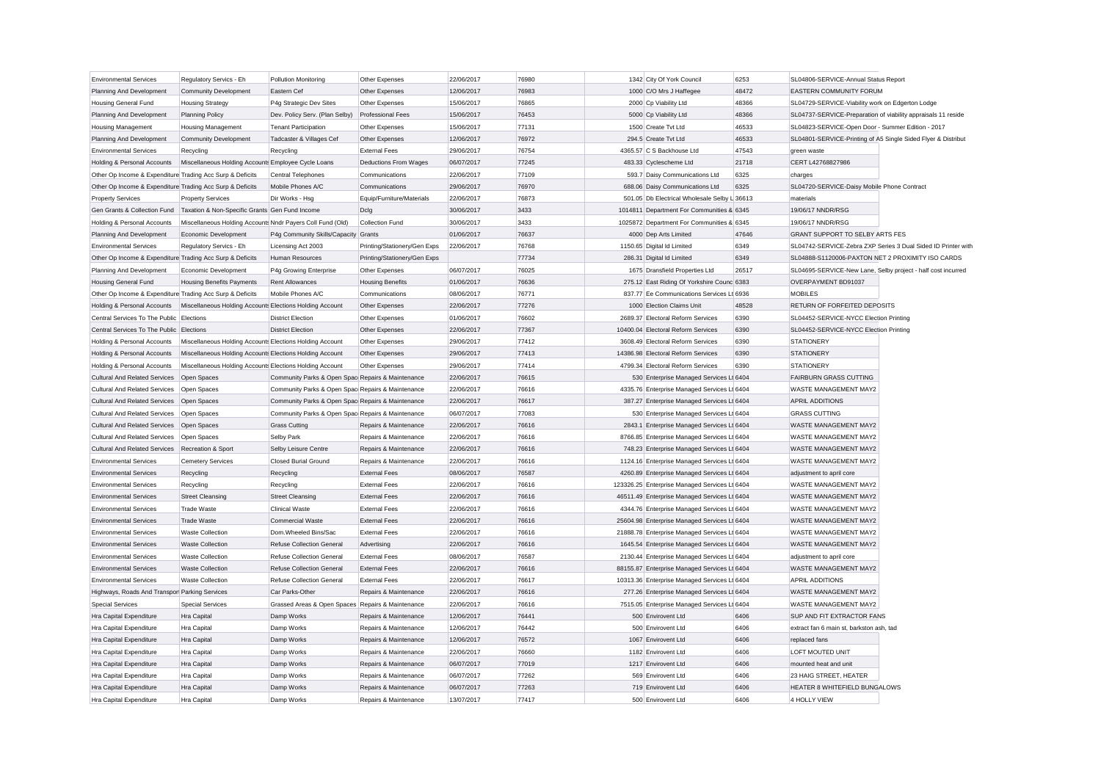| <b>Environmental Services</b>                             | Regulatory Servics - Eh                                    | Pollution Monitoring                              | Other Expenses               | 22/06/2017 | 76980 | 1342 City Of York Council                     | 6253  | SL04806-SERVICE-Annual Status Report                          |                                                               |
|-----------------------------------------------------------|------------------------------------------------------------|---------------------------------------------------|------------------------------|------------|-------|-----------------------------------------------|-------|---------------------------------------------------------------|---------------------------------------------------------------|
| Planning And Development                                  | Community Development                                      | Eastern Cef                                       | Other Expenses               | 12/06/2017 | 76983 | 1000 C/O Mrs J Haffegee                       | 48472 | EASTERN COMMUNITY FORUM                                       |                                                               |
| <b>Housing General Fund</b>                               | <b>Housing Strategy</b>                                    | P4g Strategic Dev Sites                           | Other Expenses               | 15/06/2017 | 76865 | 2000 Cp Viability Ltd                         | 48366 | SL04729-SERVICE-Viability work on Edgerton Lodge              |                                                               |
| Planning And Development                                  | <b>Planning Policy</b>                                     | Dev. Policy Serv. (Plan Selby)                    | <b>Professional Fees</b>     | 15/06/2017 | 76453 | 5000 Cp Viability Ltd                         | 48366 | SL04737-SERVICE-Preparation of viability appraisals 11 reside |                                                               |
| <b>Housing Management</b>                                 | <b>Housing Management</b>                                  | <b>Tenant Participation</b>                       | Other Expenses               | 15/06/2017 | 77131 | 1500 Create Tvt Ltd                           | 46533 | SL04823-SERVICE-Open Door - Summer Edition - 2017             |                                                               |
| Planning And Development                                  | <b>Community Development</b>                               | Tadcaster & Villages Cef                          | Other Expenses               | 12/06/2017 | 76972 | 294.5 Create Tvt Ltd                          | 46533 | SL04801-SERVICE-Printing of A5 Single Sided Flyer & Distribut |                                                               |
| <b>Environmental Services</b>                             | Recycling                                                  | Recycling                                         | <b>External Fees</b>         | 29/06/2017 | 76754 | 4365.57 C S Backhouse Ltd                     | 47543 | green waste                                                   |                                                               |
| Holding & Personal Accounts                               | Miscellaneous Holding Accounts Employee Cycle Loans        |                                                   | <b>Deductions From Wages</b> | 06/07/2017 | 77245 | 483.33 Cyclescheme Ltd                        | 21718 | CERT L42768827986                                             |                                                               |
| Other Op Income & Expenditure Trading Acc Surp & Deficits |                                                            | <b>Central Telephones</b>                         | Communications               | 22/06/2017 | 77109 | 593.7 Daisy Communications Ltd                | 6325  | charges                                                       |                                                               |
| Other Op Income & Expenditure Trading Acc Surp & Deficits |                                                            | Mobile Phones A/C                                 | Communications               | 29/06/2017 | 76970 | 688.06 Daisy Communications Ltd               | 6325  | SL04720-SERVICE-Daisy Mobile Phone Contract                   |                                                               |
| <b>Property Services</b>                                  | <b>Property Services</b>                                   | Dir Works - Hsg                                   | Equip/Furniture/Materials    | 22/06/2017 | 76873 | 501.05 Db Electrical Wholesale Selby L 36613  |       | materials                                                     |                                                               |
| Gen Grants & Collection Fund                              | Taxation & Non-Specific Grants Gen Fund Income             |                                                   | Dclg                         | 30/06/2017 | 3433  | 1014811 Department For Communities & 6345     |       | 19/06/17 NNDR/RSG                                             |                                                               |
| Holding & Personal Accounts                               | Miscellaneous Holding Accounts Nndr Payers Coll Fund (Old) |                                                   | Collection Fund              | 30/06/2017 | 3433  | 1025872 Department For Communities & 6345     |       | 19/06/17 NNDR/RSG                                             |                                                               |
| Planning And Development                                  | Economic Development                                       | P4g Community Skills/Capacity Grants              |                              | 01/06/2017 | 76637 | 4000 Dep Arts Limited                         | 47646 | <b>GRANT SUPPORT TO SELBY ARTS FES</b>                        |                                                               |
| <b>Environmental Services</b>                             | Regulatory Servics - Eh                                    | Licensing Act 2003                                | Printing/Stationery/Gen Exps | 22/06/2017 | 76768 | 1150.65 Digital Id Limited                    | 6349  |                                                               | SL04742-SERVICE-Zebra ZXP Series 3 Dual Sided ID Printer with |
| Other Op Income & Expenditure Trading Acc Surp & Deficits |                                                            | Human Resources                                   | Printing/Stationery/Gen Exps |            | 77734 | 286.31 Digital Id Limited                     | 6349  | SL04888-S1120006-PAXTON NET 2 PROXIMITY ISO CARDS             |                                                               |
| Planning And Development                                  | Economic Development                                       | P4g Growing Enterprise                            | Other Expenses               | 06/07/2017 | 76025 | 1675 Dransfield Properties Ltd                | 26517 | SL04695-SERVICE-New Lane, Selby project - half cost incurred  |                                                               |
| <b>Housing General Fund</b>                               | <b>Housing Benefits Payments</b>                           | <b>Rent Allowances</b>                            | <b>Housing Benefits</b>      | 01/06/2017 | 76636 | 275.12 East Riding Of Yorkshire Counc 6383    |       | OVERPAYMENT BD91037                                           |                                                               |
| Other Op Income & Expenditure Trading Acc Surp & Deficits |                                                            | Mobile Phones A/C                                 | Communications               | 08/06/2017 | 76771 | 837.77 Ee Communications Services Lt 6936     |       | <b>MOBILES</b>                                                |                                                               |
| Holding & Personal Accounts                               | Miscellaneous Holding Accounts Elections Holding Account   |                                                   | Other Expenses               | 22/06/2017 | 77276 | 1000 Election Claims Unit                     | 48528 | RETURN OF FORFEITED DEPOSITS                                  |                                                               |
| Central Services To The Public Elections                  |                                                            | <b>District Election</b>                          | Other Expenses               | 01/06/2017 | 76602 | 2689.37 Electoral Reform Services             | 6390  | SL04452-SERVICE-NYCC Election Printing                        |                                                               |
| Central Services To The Public Elections                  |                                                            | <b>District Election</b>                          | Other Expenses               | 22/06/2017 | 77367 | 10400.04 Electoral Reform Services            | 6390  | SL04452-SERVICE-NYCC Election Printing                        |                                                               |
| Holding & Personal Accounts                               | Miscellaneous Holding Accounts Elections Holding Account   |                                                   | Other Expenses               | 29/06/2017 | 77412 | 3608.49 Electoral Reform Services             | 6390  | <b>STATIONERY</b>                                             |                                                               |
| Holding & Personal Accounts                               | Miscellaneous Holding Accounts Elections Holding Account   |                                                   | Other Expenses               | 29/06/2017 | 77413 | 14386.98 Electoral Reform Services            | 6390  | <b>STATIONERY</b>                                             |                                                               |
| Holding & Personal Accounts                               | Miscellaneous Holding Accounts Elections Holding Account   |                                                   | Other Expenses               | 29/06/2017 | 77414 | 4799.34 Electoral Reform Services             | 6390  | <b>STATIONERY</b>                                             |                                                               |
| <b>Cultural And Related Services</b>                      | Open Spaces                                                | Community Parks & Open Spac Repairs & Maintenance |                              | 22/06/2017 | 76615 | 530 Enterprise Managed Services Lt 6404       |       | <b>FAIRBURN GRASS CUTTING</b>                                 |                                                               |
| <b>Cultural And Related Services</b>                      | Open Spaces                                                | Community Parks & Open Spac Repairs & Maintenance |                              | 22/06/2017 | 76616 | 4335.76 Enterprise Managed Services Lt 6404   |       | WASTE MANAGEMENT MAY2                                         |                                                               |
| <b>Cultural And Related Services</b>                      | Open Spaces                                                | Community Parks & Open Spac Repairs & Maintenance |                              | 22/06/2017 | 76617 | 387.27 Enterprise Managed Services Lt 6404    |       | <b>APRIL ADDITIONS</b>                                        |                                                               |
| Cultural And Related Services   Open Spaces               |                                                            | Community Parks & Open Spac Repairs & Maintenance |                              | 06/07/2017 | 77083 | 530 Enterprise Managed Services Lt 6404       |       | <b>GRASS CUTTING</b>                                          |                                                               |
| Cultural And Related Services Open Spaces                 |                                                            | <b>Grass Cutting</b>                              | Repairs & Maintenance        | 22/06/2017 | 76616 | 2843.1 Enterprise Managed Services Lt 6404    |       | WASTE MANAGEMENT MAY2                                         |                                                               |
| <b>Cultural And Related Services</b>                      | Open Spaces                                                | Selby Park                                        | Repairs & Maintenance        | 22/06/2017 | 76616 | 8766.85 Enterprise Managed Services Lt 6404   |       | WASTE MANAGEMENT MAY2                                         |                                                               |
| Cultural And Related Services Recreation & Sport          |                                                            | Selby Leisure Centre                              | Repairs & Maintenance        | 22/06/2017 | 76616 | 748.23 Enterprise Managed Services Lt 6404    |       | <b>WASTE MANAGEMENT MAY2</b>                                  |                                                               |
| <b>Environmental Services</b>                             | <b>Cemetery Services</b>                                   | Closed Burial Ground                              | Repairs & Maintenance        | 22/06/2017 | 76616 | 1124.16 Enterprise Managed Services Lt 6404   |       | WASTE MANAGEMENT MAY2                                         |                                                               |
| <b>Environmental Services</b>                             | Recycling                                                  | Recycling                                         | <b>External Fees</b>         | 08/06/2017 | 76587 | 4260.89 Enterprise Managed Services Lt 6404   |       | adjustment to april core                                      |                                                               |
| <b>Environmental Services</b>                             | Recycling                                                  | Recycling                                         | <b>External Fees</b>         | 22/06/2017 | 76616 | 123326.25 Enterprise Managed Services Lt 6404 |       | WASTE MANAGEMENT MAY2                                         |                                                               |
| <b>Environmental Services</b>                             | <b>Street Cleansing</b>                                    | <b>Street Cleansing</b>                           | <b>External Fees</b>         | 22/06/2017 | 76616 | 46511.49 Enterprise Managed Services Lt 6404  |       | WASTE MANAGEMENT MAY2                                         |                                                               |
| <b>Environmental Services</b>                             | Trade Waste                                                | <b>Clinical Waste</b>                             | <b>External Fees</b>         | 22/06/2017 | 76616 | 4344.76 Enterprise Managed Services Lt 6404   |       | WASTE MANAGEMENT MAY2                                         |                                                               |
| <b>Environmental Services</b>                             | <b>Trade Waste</b>                                         | <b>Commercial Waste</b>                           | <b>External Fees</b>         | 22/06/2017 | 76616 | 25604.98 Enterprise Managed Services Lt 6404  |       | <b>WASTE MANAGEMENT MAY2</b>                                  |                                                               |
| <b>Environmental Services</b>                             | <b>Waste Collection</b>                                    | Dom.Wheeled Bins/Sac                              | <b>External Fees</b>         | 22/06/2017 | 76616 | 21888.78 Enterprise Managed Services Lt 6404  |       | WASTE MANAGEMENT MAY2                                         |                                                               |
| <b>Environmental Services</b>                             | <b>Waste Collection</b>                                    | Refuse Collection General                         | Advertising                  | 22/06/2017 | 76616 | 1645.54 Enterprise Managed Services Lt 6404   |       | <b>WASTE MANAGEMENT MAY2</b>                                  |                                                               |
| <b>Environmental Services</b>                             | <b>Waste Collection</b>                                    | <b>Refuse Collection General</b>                  | <b>External Fees</b>         | 08/06/2017 | 76587 | 2130.44 Enterprise Managed Services Lt 6404   |       | adjustment to april core                                      |                                                               |
| <b>Environmental Services</b>                             | <b>Waste Collection</b>                                    | <b>Refuse Collection General</b>                  | <b>External Fees</b>         | 22/06/2017 | 76616 | 88155.87 Enterprise Managed Services Lt 6404  |       | WASTE MANAGEMENT MAY2                                         |                                                               |
| <b>Environmental Services</b>                             | <b>Waste Collection</b>                                    | <b>Refuse Collection General</b>                  | <b>External Fees</b>         | 22/06/2017 | 76617 | 10313.36 Enterprise Managed Services Lt 6404  |       | <b>APRIL ADDITIONS</b>                                        |                                                               |
| Highways, Roads And Transpor Parking Services             |                                                            | Car Parks-Other                                   | Repairs & Maintenance        | 22/06/2017 | 76616 | 277.26 Enterprise Managed Services Lt 6404    |       | <b>WASTE MANAGEMENT MAY2</b>                                  |                                                               |
| <b>Special Services</b>                                   | <b>Special Services</b>                                    | Grassed Areas & Open Spaces Repairs & Maintenance |                              | 22/06/2017 | 76616 | 7515.05 Enterprise Managed Services Lt 6404   |       | WASTE MANAGEMENT MAY2                                         |                                                               |
| Hra Capital Expenditure                                   | Hra Capital                                                | Damp Works                                        | Repairs & Maintenance        | 12/06/2017 | 76441 | 500 Envirovent Ltd                            | 6406  | SUP AND FIT EXTRACTOR FANS                                    |                                                               |
| Hra Capital Expenditure                                   | Hra Capital                                                | Damp Works                                        | Repairs & Maintenance        | 12/06/2017 | 76442 | 500 Envirovent Ltd                            | 6406  | extract fan 6 main st, barkston ash, tad                      |                                                               |
| Hra Capital Expenditure                                   | Hra Capital                                                | Damp Works                                        | Repairs & Maintenance        | 12/06/2017 | 76572 | 1067 Envirovent Ltd                           | 6406  | replaced fans                                                 |                                                               |
| Hra Capital Expenditure                                   | Hra Capital                                                | Damp Works                                        | Repairs & Maintenance        | 22/06/2017 | 76660 | 1182 Envirovent Ltd                           | 6406  | LOFT MOUTED UNIT                                              |                                                               |
| Hra Capital Expenditure                                   | Hra Capital                                                | Damp Works                                        | Repairs & Maintenance        | 06/07/2017 | 77019 | 1217 Envirovent Ltd                           | 6406  | mounted heat and unit                                         |                                                               |
| Hra Capital Expenditure                                   | Hra Capital                                                | Damp Works                                        | Repairs & Maintenance        | 06/07/2017 | 77262 | 569 Envirovent Ltd                            | 6406  | 23 HAIG STREET, HEATER                                        |                                                               |
| Hra Capital Expenditure                                   | Hra Capital                                                | Damp Works                                        | Repairs & Maintenance        | 06/07/2017 | 77263 | 719 Envirovent Ltd                            | 6406  | HEATER 8 WHITEFIELD BUNGALOWS                                 |                                                               |
| Hra Capital Expenditure                                   | Hra Capital                                                | Damp Works                                        | Repairs & Maintenance        | 13/07/2017 | 77417 | 500 Envirovent Ltd                            | 6406  | 4 HOLLY VIEW                                                  |                                                               |
|                                                           |                                                            |                                                   |                              |            |       |                                               |       |                                                               |                                                               |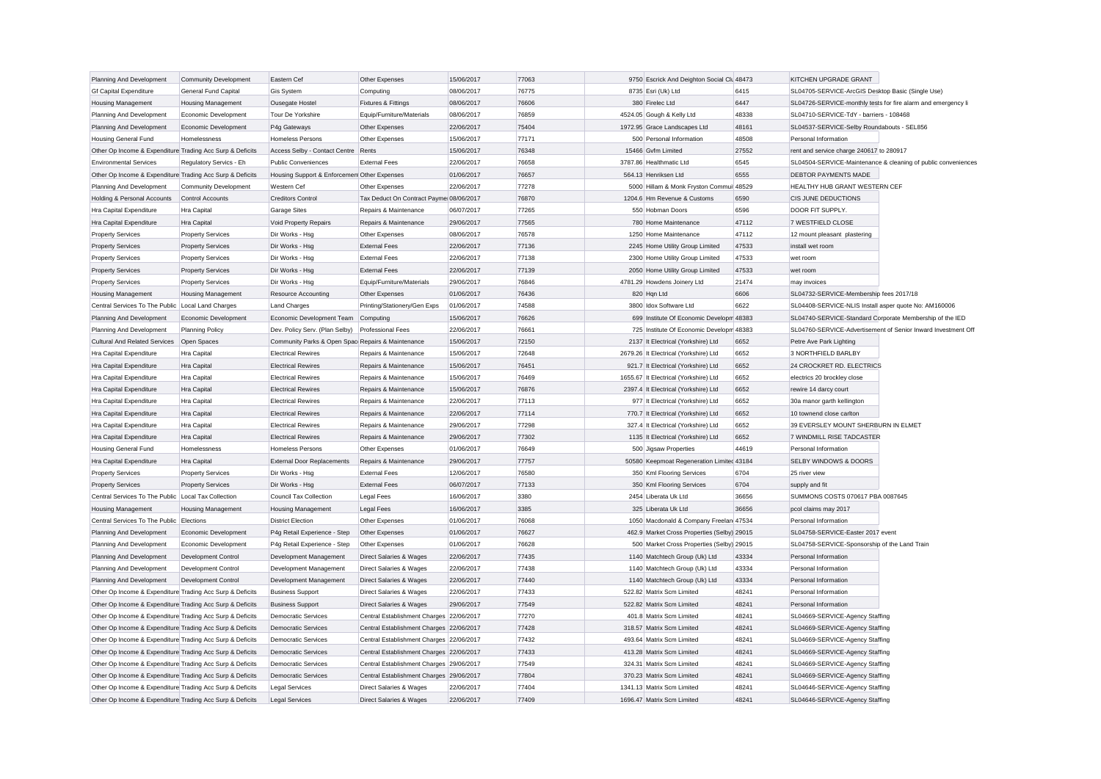| Planning And Development                                  | <b>Community Development</b> | Eastern Cef                                       | Other Expenses                           | 15/06/2017 | 77063 | 9750 Escrick And Deighton Social Clu 48473  |       | KITCHEN UPGRADE GRANT                                         |                                                               |
|-----------------------------------------------------------|------------------------------|---------------------------------------------------|------------------------------------------|------------|-------|---------------------------------------------|-------|---------------------------------------------------------------|---------------------------------------------------------------|
| <b>Gf Capital Expenditure</b>                             | General Fund Capital         | Gis System                                        | Computing                                | 08/06/2017 | 76775 | 8735 Esri (Uk) Ltd                          | 6415  | SL04705-SERVICE-ArcGIS Desktop Basic (Single Use)             |                                                               |
| <b>Housing Management</b>                                 | <b>Housing Management</b>    | Ousegate Hostel                                   | Fixtures & Fittings                      | 08/06/2017 | 76606 | 380 Firelec Ltd                             | 6447  | SL04726-SERVICE-monthly tests for fire alarm and emergency li |                                                               |
| Planning And Development                                  | Economic Development         | Tour De Yorkshire                                 | Equip/Furniture/Materials                | 08/06/2017 | 76859 | 4524.05 Gough & Kelly Ltd                   | 48338 | SL04710-SERVICE-TdY - barriers - 108468                       |                                                               |
| Planning And Development                                  | Economic Development         | P4g Gateways                                      | Other Expenses                           | 22/06/2017 | 75404 | 1972.95 Grace Landscapes Ltd                | 48161 | SL04537-SERVICE-Selby Roundabouts - SEL856                    |                                                               |
| <b>Housing General Fund</b>                               | Homelessness                 | Homeless Persons                                  | Other Expenses                           | 15/06/2017 | 77171 | 500 Personal Information                    | 48508 | Personal Information                                          |                                                               |
| Other Op Income & Expenditure Trading Acc Surp & Deficits |                              | Access Selby - Contact Centre Rents               |                                          | 15/06/2017 | 76348 | 15466 Gvfm Limited                          | 27552 | rent and service charge 240617 to 280917                      |                                                               |
| <b>Environmental Services</b>                             | Regulatory Servics - Eh      | <b>Public Conveniences</b>                        | <b>External Fees</b>                     | 22/06/2017 | 76658 | 3787.86 Healthmatic Ltd                     | 6545  |                                                               | SL04504-SERVICE-Maintenance & cleaning of public conveniences |
| Other Op Income & Expenditure Trading Acc Surp & Deficits |                              | Housing Support & Enforcemen Other Expenses       |                                          | 01/06/2017 | 76657 | 564.13 Henriksen Ltd                        | 6555  | DEBTOR PAYMENTS MADE                                          |                                                               |
| Planning And Development                                  | <b>Community Development</b> | Western Cef                                       | Other Expenses                           | 22/06/2017 | 77278 | 5000 Hillam & Monk Fryston Commui 48529     |       | HEALTHY HUB GRANT WESTERN CEF                                 |                                                               |
| Holding & Personal Accounts                               | Control Accounts             | <b>Creditors Control</b>                          | Tax Deduct On Contract Payme 08/06/2017  |            | 76870 | 1204.6 Hm Revenue & Customs                 | 6590  | CIS JUNE DEDUCTIONS                                           |                                                               |
| Hra Capital Expenditure                                   | Hra Capital                  | <b>Garage Sites</b>                               | Repairs & Maintenance                    | 06/07/2017 | 77265 | 550 Hobman Doors                            | 6596  | DOOR FIT SUPPLY.                                              |                                                               |
| Hra Capital Expenditure                                   | <b>Hra</b> Capital           | Void Property Repairs                             | Repairs & Maintenance                    | 29/06/2017 | 77565 | 780 Home Maintenance                        | 47112 | 7 WESTFIELD CLOSE                                             |                                                               |
| <b>Property Services</b>                                  | <b>Property Services</b>     | Dir Works - Hsg                                   | Other Expenses                           | 08/06/2017 | 76578 | 1250 Home Maintenance                       | 47112 | 12 mount pleasant plastering                                  |                                                               |
| <b>Property Services</b>                                  | <b>Property Services</b>     | Dir Works - Hsg                                   | <b>External Fees</b>                     | 22/06/2017 | 77136 | 2245 Home Utility Group Limited             | 47533 | install wet room                                              |                                                               |
| <b>Property Services</b>                                  | <b>Property Services</b>     | Dir Works - Hsg                                   | <b>External Fees</b>                     | 22/06/2017 | 77138 | 2300 Home Utility Group Limited             | 47533 | wet room                                                      |                                                               |
| <b>Property Services</b>                                  | <b>Property Services</b>     | Dir Works - Hsa                                   | <b>External Fees</b>                     | 22/06/2017 | 77139 | 2050 Home Utility Group Limited             | 47533 | wet room                                                      |                                                               |
| <b>Property Services</b>                                  | <b>Property Services</b>     | Dir Works - Hsg                                   | Equip/Furniture/Materials                | 29/06/2017 | 76846 | 4781.29 Howdens Joinery Ltd                 | 21474 | may invoices                                                  |                                                               |
| <b>Housing Management</b>                                 | <b>Housing Management</b>    | Resource Accounting                               | Other Expenses                           | 01/06/2017 | 76436 | 820 Hqn Ltd                                 | 6606  | SL04732-SERVICE-Membership fees 2017/18                       |                                                               |
| Central Services To The Public                            | <b>Local Land Charges</b>    | <b>Land Charges</b>                               | Printing/Stationery/Gen Exps             | 01/06/2017 | 74588 | 3800 Idox Software Ltd                      | 6622  | SL04408-SERVICE-NLIS Install asper quote No: AM160006         |                                                               |
| Planning And Development                                  | Economic Development         | Economic Development Team                         | Computing                                | 15/06/2017 | 76626 | 699 Institute Of Economic Developm 48383    |       | SL04740-SERVICE-Standard Corporate Membership of the IED      |                                                               |
| Planning And Development                                  | <b>Planning Policy</b>       | Dev. Policy Serv. (Plan Selby)                    | <b>Professional Fees</b>                 | 22/06/2017 | 76661 | 725 Institute Of Economic Developm 48383    |       |                                                               | SL04760-SERVICE-Advertisement of Senior Inward Investment Off |
| <b>Cultural And Related Services</b>                      | Open Spaces                  | Community Parks & Open Spac Repairs & Maintenance |                                          | 15/06/2017 | 72150 | 2137 It Electrical (Yorkshire) Ltd          | 6652  | Petre Ave Park Lighting                                       |                                                               |
| Hra Capital Expenditure                                   | Hra Capital                  | <b>Electrical Rewires</b>                         | Repairs & Maintenance                    | 15/06/2017 | 72648 | 2679.26 It Electrical (Yorkshire) Ltd       | 6652  | 3 NORTHFIELD BARLBY                                           |                                                               |
| Hra Capital Expenditure                                   | <b>Hra Capital</b>           | <b>Electrical Rewires</b>                         | Repairs & Maintenance                    | 15/06/2017 | 76451 | 921.7 It Electrical (Yorkshire) Ltd         | 6652  | 24 CROCKRET RD. ELECTRICS                                     |                                                               |
| <b>Hra Capital Expenditure</b>                            | <b>Hra</b> Capital           | <b>Electrical Rewires</b>                         | Repairs & Maintenance                    | 15/06/2017 | 76469 | 1655.67 It Electrical (Yorkshire) Ltd       | 6652  | electrics 20 brockley close                                   |                                                               |
| Hra Capital Expenditure                                   | <b>Hra Capital</b>           | <b>Electrical Rewires</b>                         | Repairs & Maintenance                    | 15/06/2017 | 76876 | 2397.4 It Electrical (Yorkshire) Ltd        | 6652  | rewire 14 darcy court                                         |                                                               |
| Hra Capital Expenditure                                   | Hra Capital                  | <b>Electrical Rewires</b>                         | Repairs & Maintenance                    | 22/06/2017 | 77113 | 977 It Electrical (Yorkshire) Ltd           | 6652  | 30a manor garth kellington                                    |                                                               |
| Hra Capital Expenditure                                   | <b>Hra Capital</b>           | <b>Electrical Rewires</b>                         | Repairs & Maintenance                    | 22/06/2017 | 77114 | 770.7 It Electrical (Yorkshire) Ltd         | 6652  | 10 townend close carlton                                      |                                                               |
|                                                           | <b>Hra Capital</b>           | <b>Flectrical Rewires</b>                         | Repairs & Maintenance                    | 29/06/2017 | 77298 | 327.4 It Electrical (Yorkshire) Ltd         | 6652  | 39 EVERSLEY MOUNT SHERBURN IN ELMET                           |                                                               |
| Hra Capital Expenditure<br>Hra Capital Expenditure        | <b>Hra Capital</b>           | <b>Electrical Rewires</b>                         | Repairs & Maintenance                    | 29/06/2017 | 77302 | 1135 It Electrical (Yorkshire) Ltd          | 6652  | 7 WINDMILL RISE TADCASTER                                     |                                                               |
|                                                           |                              |                                                   |                                          |            |       |                                             |       |                                                               |                                                               |
| <b>Housing General Fund</b>                               | Homelessness                 | Homeless Persons                                  | Other Expenses                           | 01/06/2017 | 76649 | 500 Jigsaw Properties                       | 44619 | Personal Information                                          |                                                               |
| Hra Capital Expenditure                                   | Hra Capital                  | <b>External Door Replacements</b>                 | Repairs & Maintenance                    | 29/06/2017 | 77757 | 50580 Keepmoat Regeneration Limiter 43184   |       | SELBY WINDOWS & DOORS                                         |                                                               |
| <b>Property Services</b>                                  | <b>Property Services</b>     | Dir Works - Hsg                                   | <b>External Fees</b>                     | 12/06/2017 | 76580 | 350 Kml Flooring Services                   | 6704  | 25 river view                                                 |                                                               |
| <b>Property Services</b>                                  | <b>Property Services</b>     | Dir Works - Hsg                                   | <b>External Fees</b>                     | 06/07/2017 | 77133 | 350 Kml Flooring Services                   | 6704  | supply and fit                                                |                                                               |
| Central Services To The Public                            | Local Tax Collection         | Council Tax Collection                            | Legal Fees                               | 16/06/2017 | 3380  | 2454 Liberata Uk Ltd                        | 36656 | SUMMONS COSTS 070617 PBA 0087645                              |                                                               |
| <b>Housing Management</b>                                 | <b>Housing Management</b>    | <b>Housing Management</b>                         | <b>Legal Fees</b>                        | 16/06/2017 | 3385  | 325 Liberata Uk Ltd                         | 36656 | pcol claims may 2017                                          |                                                               |
| Central Services To The Public                            | Elections                    | <b>District Election</b>                          | Other Expenses                           | 01/06/2017 | 76068 | 1050 Macdonald & Company Freelan 47534      |       | Personal Information                                          |                                                               |
| Planning And Development                                  | Economic Development         | P4g Retail Experience - Step                      | Other Expenses                           | 01/06/2017 | 76627 | 462.9 Market Cross Properties (Selby) 29015 |       | SL04758-SERVICE-Easter 2017 event                             |                                                               |
| Planning And Development                                  | Economic Development         | P4g Retail Experience - Step                      | Other Expenses                           | 01/06/2017 | 76628 | 500 Market Cross Properties (Selby) 29015   |       | SL04758-SERVICE-Sponsorship of the Land Train                 |                                                               |
| Planning And Development                                  | Development Control          | Development Management                            | Direct Salaries & Wages                  | 22/06/2017 | 77435 | 1140 Matchtech Group (Uk) Ltd               | 43334 | Personal Information                                          |                                                               |
| Planning And Development                                  | Development Control          | Development Management                            | Direct Salaries & Wages                  | 22/06/2017 | 77438 | 1140 Matchtech Group (Uk) Ltd               | 43334 | Personal Information                                          |                                                               |
| Planning And Development                                  | Development Control          | Development Management                            | <b>Direct Salaries &amp; Wages</b>       | 22/06/2017 | 77440 | 1140 Matchtech Group (Uk) Ltd               | 43334 | Personal Information                                          |                                                               |
| Other Op Income & Expenditure Trading Acc Surp & Deficits |                              | <b>Business Support</b>                           | Direct Salaries & Wages                  | 22/06/2017 | 77433 | 522.82 Matrix Scm Limited                   | 48241 | Personal Information                                          |                                                               |
| Other Op Income & Expenditure Trading Acc Surp & Deficits |                              | <b>Business Support</b>                           | Direct Salaries & Wages                  | 29/06/2017 | 77549 | 522.82 Matrix Scm Limited                   | 48241 | Personal Information                                          |                                                               |
| Other Op Income & Expenditure Trading Acc Surp & Deficits |                              | Democratic Services                               | Central Establishment Charges 22/06/2017 |            | 77270 | 401.8 Matrix Scm Limited                    | 48241 | SL04669-SERVICE-Agency Staffing                               |                                                               |
| Other Op Income & Expenditure Trading Acc Surp & Deficits |                              | Democratic Services                               | Central Establishment Charges 22/06/2017 |            | 77428 | 318.57 Matrix Scm Limited                   | 48241 | SL04669-SERVICE-Agency Staffing                               |                                                               |
| Other Op Income & Expenditure Trading Acc Surp & Deficits |                              | Democratic Services                               | Central Establishment Charges 22/06/2017 |            | 77432 | 493.64 Matrix Scm Limited                   | 48241 | SL04669-SERVICE-Agency Staffing                               |                                                               |
| Other Op Income & Expenditure Trading Acc Surp & Deficits |                              | <b>Democratic Services</b>                        | Central Establishment Charges 22/06/2017 |            | 77433 | 413.28 Matrix Scm Limited                   | 48241 | SL04669-SERVICE-Agency Staffing                               |                                                               |
| Other Op Income & Expenditure Trading Acc Surp & Deficits |                              | Democratic Services                               | Central Establishment Charges 29/06/2017 |            | 77549 | 324.31 Matrix Scm Limited                   | 48241 | SL04669-SERVICE-Agency Staffing                               |                                                               |
| Other Op Income & Expenditure Trading Acc Surp & Deficits |                              | <b>Democratic Services</b>                        | Central Establishment Charges 29/06/2017 |            | 77804 | 370.23 Matrix Scm Limited                   | 48241 | SL04669-SERVICE-Agency Staffing                               |                                                               |
| Other Op Income & Expenditure Trading Acc Surp & Deficits |                              | Legal Services                                    | Direct Salaries & Wages                  | 22/06/2017 | 77404 | 1341.13 Matrix Scm Limited                  | 48241 | SL04646-SERVICE-Agency Staffing                               |                                                               |
| Other Op Income & Expenditure Trading Acc Surp & Deficits |                              | Legal Services                                    | <b>Direct Salaries &amp; Wages</b>       | 22/06/2017 | 77409 | 1696.47 Matrix Scm Limited                  | 48241 | SL04646-SERVICE-Agency Staffing                               |                                                               |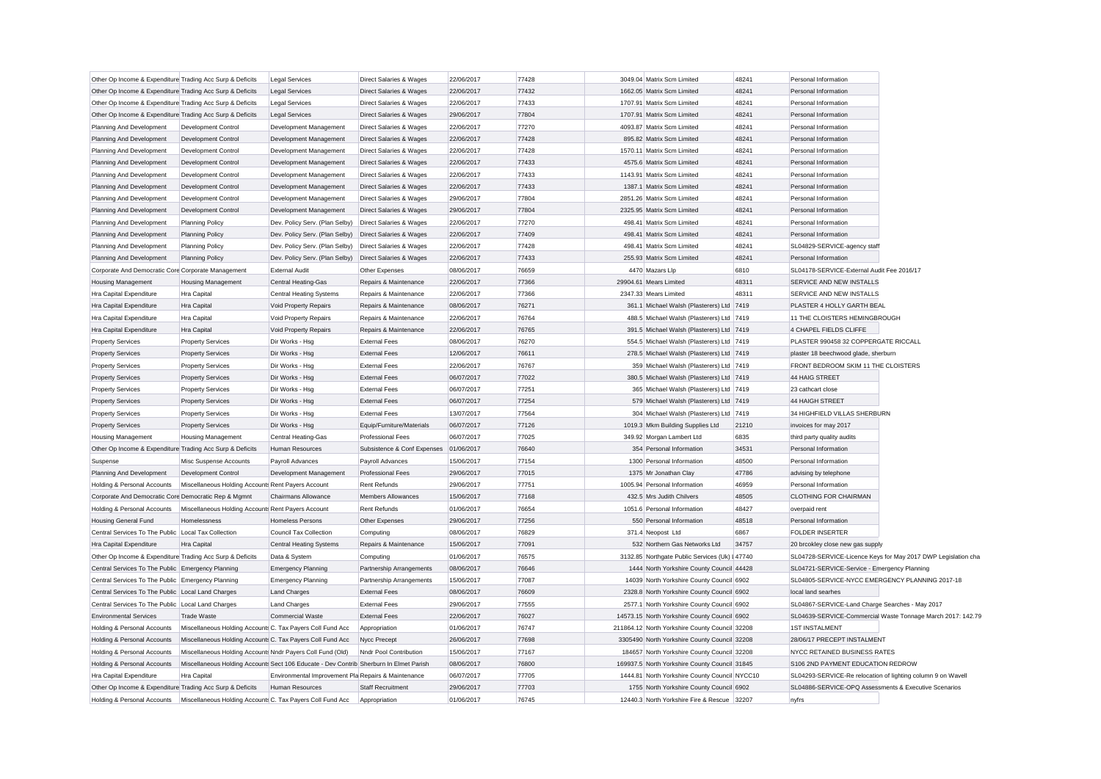| Other Op Income & Expenditure Trading Acc Surp & Deficits  |                                                                                                                          | <b>Legal Services</b>                               | Direct Salaries & Wages                | 22/06/2017               | 77428 | 3049.04 Matrix Scm Limited                                                                  | 48241 | Personal Information                                                                                                  |                                                               |
|------------------------------------------------------------|--------------------------------------------------------------------------------------------------------------------------|-----------------------------------------------------|----------------------------------------|--------------------------|-------|---------------------------------------------------------------------------------------------|-------|-----------------------------------------------------------------------------------------------------------------------|---------------------------------------------------------------|
| Other Op Income & Expenditure Trading Acc Surp & Deficits  |                                                                                                                          | <b>Legal Services</b>                               | <b>Direct Salaries &amp; Wages</b>     | 22/06/2017               | 77432 | 1662.05 Matrix Scm Limited                                                                  | 48241 | Personal Information                                                                                                  |                                                               |
| Other Op Income & Expenditure Trading Acc Surp & Deficits  |                                                                                                                          | <b>Legal Services</b>                               | Direct Salaries & Wages                | 22/06/2017               | 77433 | 1707.91 Matrix Scm Limited                                                                  | 48241 | Personal Information                                                                                                  |                                                               |
| Other Op Income & Expenditure Trading Acc Surp & Deficits  |                                                                                                                          | <b>Legal Services</b>                               | Direct Salaries & Wages                | 29/06/2017               | 77804 | 1707.91 Matrix Scm Limited                                                                  | 48241 | Personal Information                                                                                                  |                                                               |
| Planning And Development                                   | Development Control                                                                                                      | Development Management                              | Direct Salaries & Wages                | 22/06/2017               | 77270 | 4093.87 Matrix Scm Limited                                                                  | 48241 | Personal Information                                                                                                  |                                                               |
| Planning And Development                                   | <b>Development Control</b>                                                                                               | Development Management                              | Direct Salaries & Wages                | 22/06/2017               | 77428 | 895.82 Matrix Scm Limited                                                                   | 48241 | Personal Information                                                                                                  |                                                               |
| Planning And Development                                   | <b>Development Control</b>                                                                                               | Development Management                              | Direct Salaries & Wages                | 22/06/2017               | 77428 | 1570.11 Matrix Scm Limited                                                                  | 48241 | Personal Information                                                                                                  |                                                               |
| Planning And Development                                   | Development Control                                                                                                      | Development Management                              | Direct Salaries & Wages                | 22/06/2017               | 77433 | 4575.6 Matrix Scm Limited                                                                   | 48241 | Personal Information                                                                                                  |                                                               |
| Planning And Development                                   | Development Control                                                                                                      | Development Management                              | Direct Salaries & Wages                | 22/06/2017               | 77433 | 1143.91 Matrix Scm Limited                                                                  | 48241 | Personal Information                                                                                                  |                                                               |
| Planning And Development                                   | Development Control                                                                                                      | Development Management                              | Direct Salaries & Wages                | 22/06/2017               | 77433 | 1387.1 Matrix Scm Limited                                                                   | 48241 | Personal Information                                                                                                  |                                                               |
| Planning And Development                                   | Development Control                                                                                                      | Development Management                              | Direct Salaries & Wages                | 29/06/2017               | 77804 | 2851.26 Matrix Scm Limited                                                                  | 48241 | Personal Information                                                                                                  |                                                               |
| Planning And Development                                   | <b>Development Control</b>                                                                                               | Development Management                              | Direct Salaries & Wages                | 29/06/2017               | 77804 | 2325.95 Matrix Scm Limited                                                                  | 48241 | Personal Information                                                                                                  |                                                               |
| Planning And Development                                   | <b>Planning Policy</b>                                                                                                   | Dev. Policy Serv. (Plan Selby)                      | Direct Salaries & Wages                | 22/06/2017               | 77270 | 498.41 Matrix Scm Limited                                                                   | 48241 | Personal Information                                                                                                  |                                                               |
| Planning And Development                                   | <b>Planning Policy</b>                                                                                                   | Dev. Policy Serv. (Plan Selby)                      | Direct Salaries & Wages                | 22/06/2017               | 77409 | 498.41 Matrix Scm Limited                                                                   | 48241 | Personal Information                                                                                                  |                                                               |
| Planning And Development                                   | <b>Planning Policy</b>                                                                                                   | Dev. Policy Serv. (Plan Selby)                      | <b>Direct Salaries &amp; Wages</b>     | 22/06/2017               | 77428 | 498.41 Matrix Scm Limited                                                                   | 48241 | SL04829-SERVICE-agency staff                                                                                          |                                                               |
| Planning And Development                                   | <b>Planning Policy</b>                                                                                                   | Dev. Policy Serv. (Plan Selby)                      | <b>Direct Salaries &amp; Wages</b>     | 22/06/2017               | 77433 | 255.93 Matrix Scm Limited                                                                   | 48241 | Personal Information                                                                                                  |                                                               |
| Corporate And Democratic Core Corporate Management         |                                                                                                                          | <b>External Audit</b>                               | Other Expenses                         | 08/06/2017               | 76659 | 4470 Mazars Llp                                                                             | 6810  | SL04178-SERVICE-External Audit Fee 2016/17                                                                            |                                                               |
| <b>Housing Management</b>                                  | <b>Housing Management</b>                                                                                                | <b>Central Heating-Gas</b>                          | Repairs & Maintenance                  | 22/06/2017               | 77366 | 29904.61 Mears Limited                                                                      | 48311 | SERVICE AND NEW INSTALLS                                                                                              |                                                               |
| Hra Capital Expenditure                                    | Hra Capital                                                                                                              | <b>Central Heating Systems</b>                      | Repairs & Maintenance                  | 22/06/2017               | 77366 | 2347.33 Mears Limited                                                                       | 48311 | SERVICE AND NEW INSTALLS                                                                                              |                                                               |
| Hra Capital Expenditure                                    | Hra Capital                                                                                                              | Void Property Repairs                               | Repairs & Maintenance                  | 08/06/2017               | 76271 | 361.1 Michael Walsh (Plasterers) Ltd 7419                                                   |       | PLASTER 4 HOLLY GARTH BEAL                                                                                            |                                                               |
| Hra Capital Expenditure                                    | Hra Capital                                                                                                              | Void Property Repairs                               | Repairs & Maintenance                  | 22/06/2017               | 76764 | 488.5 Michael Walsh (Plasterers) Ltd 7419                                                   |       | 11 THE CLOISTERS HEMINGBROUGH                                                                                         |                                                               |
| Hra Capital Expenditure                                    | Hra Capital                                                                                                              | Void Property Repairs                               | Repairs & Maintenance                  | 22/06/2017               | 76765 | 391.5 Michael Walsh (Plasterers) Ltd 7419                                                   |       | 4 CHAPEL FIELDS CLIFFE                                                                                                |                                                               |
| <b>Property Services</b>                                   | <b>Property Services</b>                                                                                                 | Dir Works - Hsg                                     | <b>External Fees</b>                   | 08/06/2017               | 76270 | 554.5 Michael Walsh (Plasterers) Ltd 7419                                                   |       | PLASTER 990458 32 COPPERGATE RICCALL                                                                                  |                                                               |
| <b>Property Services</b>                                   | <b>Property Services</b>                                                                                                 | Dir Works - Hsg                                     | <b>External Fees</b>                   | 12/06/2017               | 76611 | 278.5 Michael Walsh (Plasterers) Ltd 7419                                                   |       | plaster 18 beechwood glade, sherburn                                                                                  |                                                               |
| Property Services                                          | <b>Property Services</b>                                                                                                 | Dir Works - Hsg                                     | <b>External Fees</b>                   | 22/06/2017               | 76767 | 359 Michael Walsh (Plasterers) Ltd 7419                                                     |       | FRONT BEDROOM SKIM 11 THE CLOISTERS                                                                                   |                                                               |
| <b>Property Services</b>                                   | <b>Property Services</b>                                                                                                 | Dir Works - Hsg                                     | <b>External Fees</b>                   | 06/07/2017               | 77022 | 380.5 Michael Walsh (Plasterers) Ltd 7419                                                   |       | 44 HAIG STREET                                                                                                        |                                                               |
| <b>Property Services</b>                                   | <b>Property Services</b>                                                                                                 | Dir Works - Hsg                                     | <b>External Fees</b>                   | 06/07/2017               | 77251 | 365 Michael Walsh (Plasterers) Ltd 7419                                                     |       | 23 cathcart close                                                                                                     |                                                               |
| <b>Property Services</b>                                   | <b>Property Services</b>                                                                                                 | Dir Works - Hsa                                     | <b>External Fees</b>                   | 06/07/2017               | 77254 | 579 Michael Walsh (Plasterers) Ltd 7419                                                     |       | 44 HAIGH STREET                                                                                                       |                                                               |
| <b>Property Services</b>                                   | <b>Property Services</b>                                                                                                 | Dir Works - Hsg                                     | <b>External Fees</b>                   | 13/07/2017               | 77564 | 304 Michael Walsh (Plasterers) Ltd 7419                                                     |       | 34 HIGHFIELD VILLAS SHERBURN                                                                                          |                                                               |
| <b>Property Services</b>                                   | <b>Property Services</b>                                                                                                 | Dir Works - Hsg                                     | Equip/Furniture/Materials              | 06/07/2017               | 77126 | 1019.3 Mkm Building Supplies Ltd                                                            | 21210 | invoices for may 2017                                                                                                 |                                                               |
| <b>Housing Management</b>                                  | <b>Housing Management</b>                                                                                                | <b>Central Heating-Gas</b>                          | <b>Professional Fees</b>               | 06/07/2017               | 77025 | 349.92 Morgan Lambert Ltd                                                                   | 6835  | third party quality audits                                                                                            |                                                               |
| Other Op Income & Expenditure Trading Acc Surp & Deficits  |                                                                                                                          | Human Resources                                     | Subsistence & Conf Expenses            | 01/06/2017               | 76640 | 354 Personal Information                                                                    | 34531 | Personal Information                                                                                                  |                                                               |
| Suspense                                                   | Misc Suspense Accounts                                                                                                   | Payroll Advances                                    | Payroll Advances                       | 15/06/2017               | 77154 | 1300 Personal Information                                                                   | 48500 | Personal Information                                                                                                  |                                                               |
| Planning And Development                                   | Development Control                                                                                                      | Development Management                              | <b>Professional Fees</b>               | 29/06/2017               | 77015 | 1375 Mr Jonathan Clay                                                                       | 47786 | advising by telephone                                                                                                 |                                                               |
| Holding & Personal Accounts                                | Miscellaneous Holding Accounts Rent Payers Account                                                                       |                                                     | <b>Rent Refunds</b>                    | 29/06/2017               | 77751 | 1005.94 Personal Information                                                                | 46959 | Personal Information                                                                                                  |                                                               |
| Corporate And Democratic Core Democratic Rep & Mgmnt       |                                                                                                                          | <b>Chairmans Allowance</b>                          | <b>Members Allowances</b>              | 15/06/2017               | 77168 | 432.5 Mrs Judith Chilvers                                                                   | 48505 | <b>CLOTHING FOR CHAIRMAN</b>                                                                                          |                                                               |
| Holding & Personal Accounts                                | Miscellaneous Holding Accounts Rent Payers Account                                                                       |                                                     | <b>Rent Refunds</b>                    | 01/06/2017               | 76654 | 1051.6 Personal Information                                                                 | 48427 | overpaid rent                                                                                                         |                                                               |
| <b>Housing General Fund</b>                                | Homelessness                                                                                                             | <b>Homeless Persons</b>                             | Other Expenses                         | 29/06/2017               | 77256 | 550 Personal Information                                                                    | 48518 | Personal Information                                                                                                  |                                                               |
| Central Services To The Public Local Tax Collection        |                                                                                                                          | <b>Council Tax Collection</b>                       | Computing                              | 08/06/2017               | 76829 | 371.4 Neopost Ltd                                                                           | 6867  | <b>FOLDER INSERTER</b>                                                                                                |                                                               |
| Hra Capital Expenditure                                    | <b>Hra Capital</b>                                                                                                       | <b>Central Heating Systems</b>                      | Repairs & Maintenance                  | 15/06/2017               | 77091 | 532 Northern Gas Networks Ltd                                                               | 34757 | 20 brcokley close new gas supply                                                                                      |                                                               |
| Other Op Income & Expenditure Trading Acc Surp & Deficits  |                                                                                                                          | Data & System                                       | Computing                              | 01/06/2017               | 76575 | 3132.85 Northgate Public Services (Uk) I 47740                                              |       |                                                                                                                       | SL04728-SERVICE-Licence Keys for May 2017 DWP Legislation cha |
| Central Services To The Public Emergency Planning          |                                                                                                                          | <b>Emergency Planning</b>                           | Partnership Arrangements               | 08/06/2017               | 76646 | 1444 North Yorkshire County Council 44428                                                   |       | SL04721-SERVICE-Service - Emergency Planning                                                                          |                                                               |
| Central Services To The Public Emergency Planning          |                                                                                                                          | <b>Emergency Planning</b>                           | Partnership Arrangements               | 15/06/2017               | 77087 | 14039 North Yorkshire County Council 6902                                                   |       | SL04805-SERVICE-NYCC EMERGENCY PLANNING 2017-18                                                                       |                                                               |
| Central Services To The Public Local Land Charges          |                                                                                                                          | <b>Land Charges</b>                                 | <b>External Fees</b>                   | 08/06/2017               | 76609 | 2328.8 North Yorkshire County Council 6902                                                  |       | local land searhes                                                                                                    |                                                               |
| Central Services To The Public Local Land Charges          |                                                                                                                          | <b>Land Charges</b>                                 | <b>External Fees</b>                   | 29/06/2017               | 77555 | 2577.1 North Yorkshire County Council 6902                                                  |       | SL04867-SERVICE-Land Charge Searches - May 2017                                                                       |                                                               |
| <b>Environmental Services</b>                              | <b>Trade Waste</b>                                                                                                       | Commercial Waste                                    | <b>External Fees</b>                   | 22/06/2017               | 76027 | 14573.15 North Yorkshire County Council 6902                                                |       |                                                                                                                       | SL04639-SERVICE-Commercial Waste Tonnage March 2017: 142.79   |
| Holding & Personal Accounts                                | Miscellaneous Holding Accounts C. Tax Payers Coll Fund Acc                                                               |                                                     |                                        | 01/06/2017               | 76747 | 211864.12 North Yorkshire County Council 32208                                              |       | <b>1ST INSTALMENT</b>                                                                                                 |                                                               |
|                                                            |                                                                                                                          |                                                     | Appropriation                          |                          | 77698 |                                                                                             |       |                                                                                                                       |                                                               |
| Holding & Personal Accounts<br>Holding & Personal Accounts | Miscellaneous Holding Accounts C. Tax Payers Coll Fund Acc<br>Miscellaneous Holding Accounts Nndr Payers Coll Fund (Old) |                                                     | Nycc Precept<br>Nndr Pool Contribution | 26/06/2017<br>15/06/2017 | 77167 | 3305490 North Yorkshire County Council 32208<br>184657 North Yorkshire County Council 32208 |       | 28/06/17 PRECEPT INSTALMENT<br><b>NYCC RETAINED BUSINESS RATES</b>                                                    |                                                               |
| Holding & Personal Accounts                                | Miscellaneous Holding Accounts Sect 106 Educate - Dev Contrib Sherburn In Elmet Parish                                   |                                                     |                                        | 08/06/2017               | 76800 | 169937.5 North Yorkshire County Council 31845                                               |       | S106 2ND PAYMENT EDUCATION REDROW                                                                                     |                                                               |
|                                                            | Hra Capital                                                                                                              | Environmental Improvement Pla Repairs & Maintenance |                                        |                          | 77705 | 1444.81 North Yorkshire County Council NYCC10                                               |       |                                                                                                                       |                                                               |
| Hra Capital Expenditure                                    |                                                                                                                          | <b>Human Resources</b>                              | Staff Recruitment                      | 06/07/2017<br>29/06/2017 | 77703 | 1755 North Yorkshire County Council 6902                                                    |       | SL04293-SERVICE-Re relocation of lighting column 9 on Wavell<br>SL04886-SERVICE-OPQ Assessments & Executive Scenarios |                                                               |
| Other Op Income & Expenditure Trading Acc Surp & Deficits  |                                                                                                                          |                                                     |                                        |                          |       |                                                                                             |       |                                                                                                                       |                                                               |
| Holding & Personal Accounts                                | Miscellaneous Holding Accounts C. Tax Payers Coll Fund Acc                                                               |                                                     | Appropriation                          | 01/06/2017               | 76745 | 12440.3 North Yorkshire Fire & Rescue 32207                                                 |       | nyfrs                                                                                                                 |                                                               |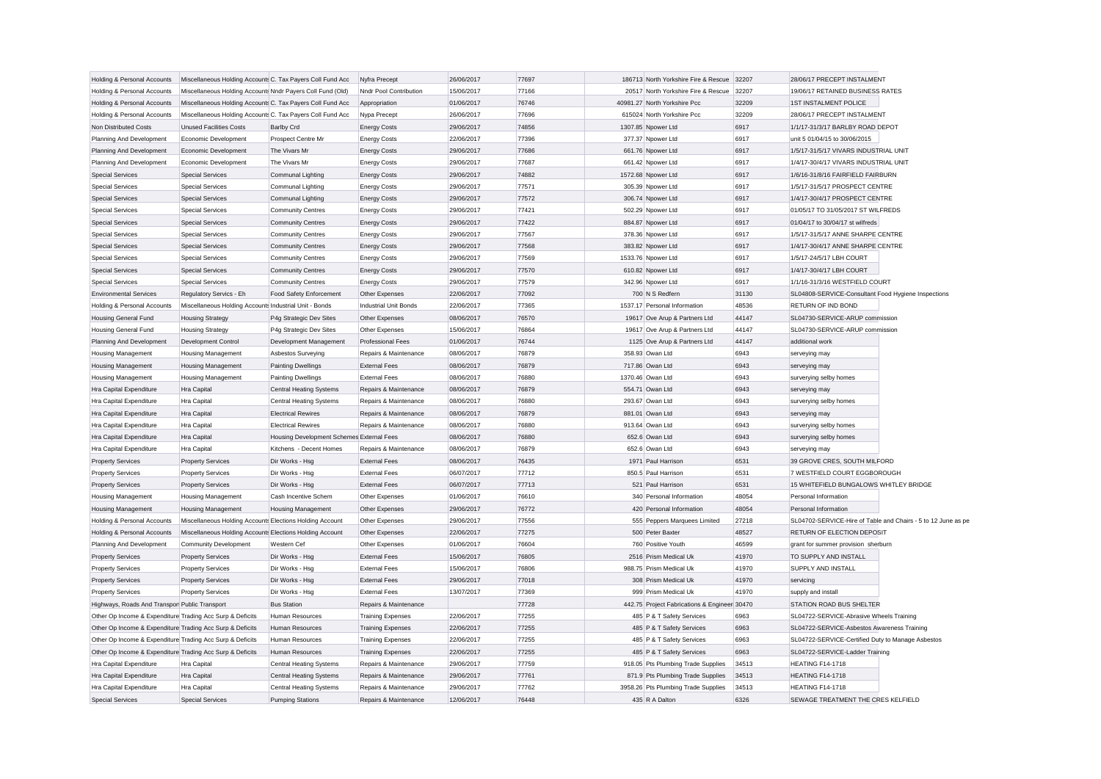| Holding & Personal Accounts                                | Miscellaneous Holding Accounts C. Tax Payers Coll Fund Acc                                                           |                                           | Nyfra Precept                | 26/06/2017               | 77697 | 186713 North Yorkshire Fire & Rescue 32207       |                | 28/06/17 PRECEPT INSTALMENT                                   |
|------------------------------------------------------------|----------------------------------------------------------------------------------------------------------------------|-------------------------------------------|------------------------------|--------------------------|-------|--------------------------------------------------|----------------|---------------------------------------------------------------|
| Holding & Personal Accounts                                | Miscellaneous Holding Accounts Nndr Payers Coll Fund (Old)                                                           |                                           | Nndr Pool Contribution       | 15/06/2017               | 77166 | 20517 North Yorkshire Fire & Rescue              | 32207          | 19/06/17 RETAINED BUSINESS RATES                              |
| Holding & Personal Accounts                                | Miscellaneous Holding Accounts C. Tax Payers Coll Fund Acc                                                           |                                           | Appropriation                | 01/06/2017               | 76746 | 40981.27 North Yorkshire Pcc                     | 32209          | <b>1ST INSTALMENT POLICE</b>                                  |
| Holding & Personal Accounts                                | Miscellaneous Holding Accounts C. Tax Payers Coll Fund Acc                                                           |                                           | Nypa Precept                 | 26/06/2017               | 77696 | 615024 North Yorkshire Pcc                       | 32209          | 28/06/17 PRECEPT INSTALMENT                                   |
| Non Distributed Costs                                      | <b>Unused Facilities Costs</b>                                                                                       | <b>Barlby Crd</b>                         | <b>Energy Costs</b>          | 29/06/2017               | 74856 | 1307.85 Npower Ltd                               | 6917           | 1/1/17-31/3/17 BARLBY ROAD DEPOT                              |
| Planning And Development                                   | Economic Development                                                                                                 | Prospect Centre Mr                        | <b>Energy Costs</b>          | 22/06/2017               | 77396 | 377.37 Npower Ltd                                | 6917           | unit 5 01/04/15 to 30/06/2015                                 |
| Planning And Development                                   | Economic Development                                                                                                 | The Vivars Mr                             | <b>Energy Costs</b>          | 29/06/2017               | 77686 | 661.76 Npower Ltd                                | 6917           | 1/5/17-31/5/17 VIVARS INDUSTRIAL UNIT                         |
| Planning And Development                                   | Economic Development                                                                                                 | The Vivars Mr                             | <b>Energy Costs</b>          | 29/06/2017               | 77687 | 661.42 Npower Ltd                                | 6917           | 1/4/17-30/4/17 VIVARS INDUSTRIAL UNIT                         |
| <b>Special Services</b>                                    | <b>Special Services</b>                                                                                              | Communal Lighting                         | <b>Energy Costs</b>          | 29/06/2017               | 74882 | 1572.68 Npower Ltd                               | 6917           | 1/6/16-31/8/16 FAIRFIELD FAIRBURN                             |
| <b>Special Services</b>                                    | <b>Special Services</b>                                                                                              | Communal Lighting                         | <b>Energy Costs</b>          | 29/06/2017               | 77571 | 305.39 Npower Ltd                                | 6917           | 1/5/17-31/5/17 PROSPECT CENTRE                                |
| <b>Special Services</b>                                    | <b>Special Services</b>                                                                                              | Communal Lighting                         | <b>Energy Costs</b>          | 29/06/2017               | 77572 | 306.74 Npower Ltd                                | 6917           | 1/4/17-30/4/17 PROSPECT CENTRE                                |
| <b>Special Services</b>                                    | <b>Special Services</b>                                                                                              | <b>Community Centres</b>                  | <b>Energy Costs</b>          | 29/06/2017               | 77421 | 502.29 Npower Ltd                                | 6917           | 01/05/17 TO 31/05/2017 ST WILFREDS                            |
| <b>Special Services</b>                                    | <b>Special Services</b>                                                                                              | <b>Community Centres</b>                  | <b>Energy Costs</b>          | 29/06/2017               | 77422 | 884.87 Npower Ltd                                | 6917           | 01/04/17 to 30/04/17 st wilfreds                              |
| <b>Special Services</b>                                    | <b>Special Services</b>                                                                                              | <b>Community Centres</b>                  | <b>Energy Costs</b>          | 29/06/2017               | 77567 | 378.36 Npower Ltd                                | 6917           | 1/5/17-31/5/17 ANNE SHARPE CENTRE                             |
| <b>Special Services</b>                                    | <b>Special Services</b>                                                                                              | <b>Community Centres</b>                  | <b>Energy Costs</b>          | 29/06/2017               | 77568 | 383.82 Npower Ltd                                | 6917           | 1/4/17-30/4/17 ANNE SHARPE CENTRE                             |
| <b>Special Services</b>                                    | <b>Special Services</b>                                                                                              | <b>Community Centres</b>                  | <b>Energy Costs</b>          | 29/06/2017               | 77569 | 1533.76 Npower Ltd                               | 6917           | 1/5/17-24/5/17 LBH COURT                                      |
| <b>Special Services</b>                                    | <b>Special Services</b>                                                                                              | <b>Community Centres</b>                  | <b>Energy Costs</b>          | 29/06/2017               | 77570 | 610.82 Npower Ltd                                | 6917           | 1/4/17-30/4/17 LBH COURT                                      |
| <b>Special Services</b>                                    | <b>Special Services</b>                                                                                              | <b>Community Centres</b>                  | <b>Energy Costs</b>          | 29/06/2017               | 77579 | 342.96 Npower Ltd                                | 6917           | 1/1/16-31/3/16 WESTFIELD COURT                                |
| <b>Environmental Services</b>                              | Regulatory Servics - Eh                                                                                              | Food Safety Enforcement                   | Other Expenses               | 22/06/2017               | 77092 | 700 N S Redfern                                  | 31130          | SL04808-SERVICE-Consultant Food Hygiene Inspections           |
| Holding & Personal Accounts                                | Miscellaneous Holding Accounts Industrial Unit - Bonds                                                               |                                           | <b>Industrial Unit Bonds</b> | 22/06/2017               | 77365 | 1537.17 Personal Information                     | 48536          | RETURN OF IND BOND                                            |
| <b>Housing General Fund</b>                                | <b>Housing Strategy</b>                                                                                              | P4g Strategic Dev Sites                   | Other Expenses               | 08/06/2017               | 76570 | 19617 Ove Arup & Partners Ltd                    | 44147          | SL04730-SERVICE-ARUP commission                               |
| Housing General Fund                                       | <b>Housing Strategy</b>                                                                                              | P4g Strategic Dev Sites                   | Other Expenses               | 15/06/2017               | 76864 | 19617 Ove Arup & Partners Ltd                    | 44147          | SL04730-SERVICE-ARUP commission                               |
| Planning And Development                                   | Development Control                                                                                                  | Development Management                    | <b>Professional Fees</b>     | 01/06/2017               | 76744 | 1125 Ove Arup & Partners Ltd                     | 44147          | additional work                                               |
| <b>Housing Management</b>                                  | <b>Housing Management</b>                                                                                            | Asbestos Surveying                        | Repairs & Maintenance        | 08/06/2017               | 76879 | 358.93 Owan Ltd                                  | 6943           | serveying may                                                 |
| Housing Management                                         | <b>Housing Management</b>                                                                                            | <b>Painting Dwellings</b>                 | <b>External Fees</b>         | 08/06/2017               | 76879 | 717.86 Owan Ltd                                  | 6943           | serveying may                                                 |
| <b>Housing Management</b>                                  | <b>Housing Management</b>                                                                                            | <b>Painting Dwellings</b>                 | <b>External Fees</b>         | 08/06/2017               | 76880 | 1370.46 Owan Ltd                                 | 6943           | surverying selby homes                                        |
| Hra Capital Expenditure                                    | Hra Capital                                                                                                          | Central Heating Systems                   | Repairs & Maintenance        | 08/06/2017               | 76879 | 554.71 Owan Ltd                                  | 6943           | serveying may                                                 |
| Hra Capital Expenditure                                    | Hra Capital                                                                                                          | <b>Central Heating Systems</b>            | Repairs & Maintenance        | 08/06/2017               | 76880 | 293.67 Owan Ltd                                  | 6943           | surverying selby homes                                        |
| Hra Capital Expenditure                                    | Hra Capital                                                                                                          | <b>Electrical Rewires</b>                 | Repairs & Maintenance        | 08/06/2017               | 76879 | 881.01 Owan Ltd                                  | 6943           | serveying may                                                 |
| Hra Capital Expenditure                                    | <b>Hra Capital</b>                                                                                                   | <b>Electrical Rewires</b>                 | Repairs & Maintenance        | 08/06/2017               | 76880 | 913.64 Owan Ltd                                  | 6943           | surverying selby homes                                        |
| Hra Capital Expenditure                                    | <b>Hra Capital</b>                                                                                                   | Housing Development Schemes External Fees |                              | 08/06/2017               | 76880 | 652.6 Owan Ltd                                   | 6943           | surverying selby homes                                        |
| Hra Capital Expenditure                                    | Hra Capital                                                                                                          | Kitchens - Decent Homes                   | Repairs & Maintenance        | 08/06/2017               | 76879 | 652.6 Owan Ltd                                   | 6943           | serveying may                                                 |
| <b>Property Services</b>                                   | <b>Property Services</b>                                                                                             | Dir Works - Hsg                           | <b>External Fees</b>         | 08/06/2017               | 76435 | 1971 Paul Harrison                               | 6531           | 39 GROVE CRES, SOUTH MILFORD                                  |
| <b>Property Services</b>                                   | <b>Property Services</b>                                                                                             | Dir Works - Hsg                           | <b>External Fees</b>         | 06/07/2017               | 77712 | 850.5 Paul Harrison                              | 6531           | 7 WESTFIELD COURT EGGBOROUGH                                  |
|                                                            |                                                                                                                      |                                           | <b>External Fees</b>         |                          | 77713 | 521 Paul Harrison                                | 6531           | 15 WHITEFIELD BUNGALOWS WHITLEY BRIDGE                        |
| <b>Property Services</b>                                   | <b>Property Services</b>                                                                                             | Dir Works - Hsg<br>Cash Incentive Schem   | Other Expenses               | 06/07/2017<br>01/06/2017 | 76610 | 340 Personal Information                         | 48054          | Personal Information                                          |
| <b>Housing Management</b>                                  | <b>Housing Management</b>                                                                                            |                                           |                              | 29/06/2017               | 76772 | 420 Personal Information                         | 48054          | Personal Information                                          |
| <b>Housing Management</b>                                  | <b>Housing Management</b>                                                                                            | <b>Housing Management</b>                 | Other Expenses               |                          | 77556 |                                                  | 27218          | SL04702-SERVICE-Hire of Table and Chairs - 5 to 12 June as pe |
| Holding & Personal Accounts<br>Holding & Personal Accounts | Miscellaneous Holding Accounts Elections Holding Account<br>Miscellaneous Holding Accounts Elections Holding Account |                                           | Other Expenses               | 29/06/2017<br>22/06/2017 | 77275 | 555 Peppers Marquees Limited<br>500 Peter Baxter | 48527          | RETURN OF ELECTION DEPOSIT                                    |
|                                                            |                                                                                                                      |                                           | Other Expenses               |                          |       |                                                  |                |                                                               |
| Planning And Development                                   | <b>Community Development</b>                                                                                         | Western Cef                               | Other Expenses               | 01/06/2017               | 76604 | 760 Positive Youth                               | 46599<br>41970 | grant for summer provision sherburn<br>TO SUPPLY AND INSTALL  |
| <b>Property Services</b>                                   | <b>Property Services</b>                                                                                             | Dir Works - Hsg                           | <b>External Fees</b>         | 15/06/2017               | 76805 | 2516 Prism Medical Uk                            |                |                                                               |
| <b>Property Services</b>                                   | <b>Property Services</b>                                                                                             | Dir Works - Hsg                           | <b>External Fees</b>         | 15/06/2017               | 76806 | 988.75 Prism Medical Uk                          | 41970          | SUPPLY AND INSTALL                                            |
| <b>Property Services</b>                                   | <b>Property Services</b>                                                                                             | Dir Works - Hsg                           | <b>External Fees</b>         | 29/06/2017               | 77018 | 308 Prism Medical Uk                             | 41970          | servicing                                                     |
| <b>Property Services</b>                                   | <b>Property Services</b>                                                                                             | Dir Works - Hsg                           | <b>External Fees</b>         | 13/07/2017               | 77369 | 999 Prism Medical Uk                             | 41970          | supply and install                                            |
| Highways, Roads And Transpor Public Transport              |                                                                                                                      | <b>Bus Station</b>                        | Repairs & Maintenance        |                          | 77728 | 442.75 Project Fabrications & Engineer 30470     |                | STATION ROAD BUS SHELTER                                      |
| Other Op Income & Expenditure Trading Acc Surp & Deficits  |                                                                                                                      | <b>Human Resources</b>                    | <b>Training Expenses</b>     | 22/06/2017               | 77255 | 485 P & T Safety Services                        | 6963           | SL04722-SERVICE-Abrasive Wheels Training                      |
| Other Op Income & Expenditure Trading Acc Surp & Deficits  |                                                                                                                      | Human Resources                           | <b>Training Expenses</b>     | 22/06/2017               | 77255 | 485 P & T Safety Services                        | 6963           | SL04722-SERVICE-Asbestos Awareness Training                   |
| Other Op Income & Expenditure Trading Acc Surp & Deficits  |                                                                                                                      | Human Resources                           | <b>Training Expenses</b>     | 22/06/2017               | 77255 | 485 P & T Safety Services                        | 6963           | SL04722-SERVICE-Certified Duty to Manage Asbestos             |
| Other Op Income & Expenditure Trading Acc Surp & Deficits  |                                                                                                                      | <b>Human Resources</b>                    | <b>Training Expenses</b>     | 22/06/2017               | 77255 | 485 P & T Safety Services                        | 6963           | SL04722-SERVICE-Ladder Training                               |
| Hra Capital Expenditure                                    | Hra Capital                                                                                                          | <b>Central Heating Systems</b>            | Repairs & Maintenance        | 29/06/2017               | 77759 | 918.05 Pts Plumbing Trade Supplies               | 34513          | <b>HEATING F14-1718</b>                                       |
| Hra Capital Expenditure                                    | <b>Hra Capital</b>                                                                                                   | <b>Central Heating Systems</b>            | Repairs & Maintenance        | 29/06/2017               | 77761 | 871.9 Pts Plumbing Trade Supplies                | 34513          | <b>HEATING F14-1718</b>                                       |
| Hra Capital Expenditure                                    | <b>Hra Capital</b>                                                                                                   | Central Heating Systems                   | Repairs & Maintenance        | 29/06/2017               | 77762 | 3958.26 Pts Plumbing Trade Supplies              | 34513          | <b>HEATING F14-1718</b>                                       |
| <b>Special Services</b>                                    | <b>Special Services</b>                                                                                              | <b>Pumping Stations</b>                   | Repairs & Maintenance        | 12/06/2017               | 76448 | 435 R A Dalton                                   | 6326           | SEWAGE TREATMENT THE CRES KELFIELD                            |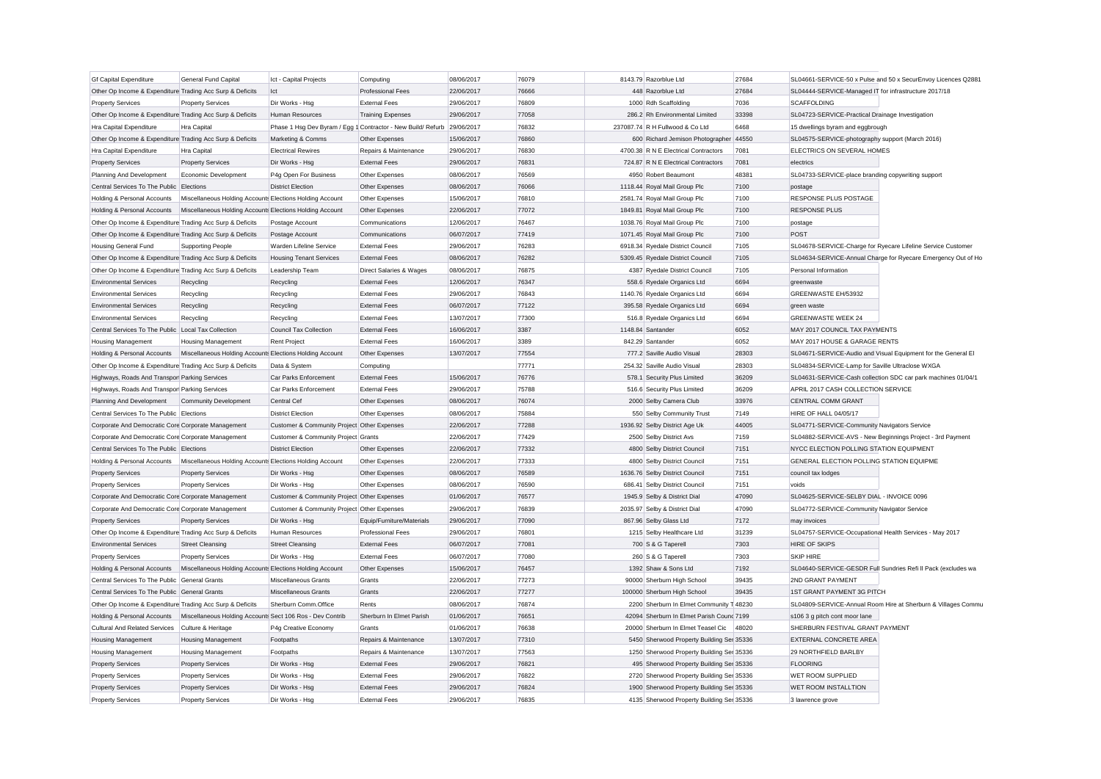| <b>Gf Capital Expenditure</b>                             | General Fund Capital                                      | Ict - Capital Projects                      | Computing                                                               | 08/06/2017 | 76079 | 8143.79 Razorblue Ltd                     | 27684 | SL04661-SERVICE-50 x Pulse and 50 x SecurEnvoy Licences Q2881 |  |
|-----------------------------------------------------------|-----------------------------------------------------------|---------------------------------------------|-------------------------------------------------------------------------|------------|-------|-------------------------------------------|-------|---------------------------------------------------------------|--|
| Other Op Income & Expenditure Trading Acc Surp & Deficits |                                                           | Ict                                         | <b>Professional Fees</b>                                                | 22/06/2017 | 76666 | 448 Razorblue Ltd                         | 27684 | SL04444-SERVICE-Managed IT for infrastructure 2017/18         |  |
| <b>Property Services</b>                                  | <b>Property Services</b>                                  | Dir Works - Hsg                             | <b>External Fees</b>                                                    | 29/06/2017 | 76809 | 1000 Rdh Scaffolding                      | 7036  | <b>SCAFFOLDING</b>                                            |  |
| Other Op Income & Expenditure Trading Acc Surp & Deficits |                                                           | Human Resources                             | <b>Training Expenses</b>                                                | 29/06/2017 | 77058 | 286.2 Rh Environmental Limited            | 33398 | SL04723-SERVICE-Practical Drainage Investigation              |  |
| Hra Capital Expenditure                                   | Hra Capital                                               |                                             | Phase 1 Hsq Dev Byram / Eqq 1 Contractor - New Build/ Refurb 29/06/2017 |            | 76832 | 237087.74 R H Fullwood & Co Ltd           | 6468  | 15 dwellings byram and eggbrough                              |  |
| Other Op Income & Expenditure Trading Acc Surp & Deficits |                                                           | Marketing & Comms                           | Other Expenses                                                          | 15/06/2017 | 76860 | 600 Richard Jemison Photographer 44550    |       | SL04575-SERVICE-photography support (March 2016)              |  |
| Hra Capital Expenditure                                   | Hra Capital                                               | <b>Electrical Rewires</b>                   | Repairs & Maintenance                                                   | 29/06/2017 | 76830 | 4700.38 R N E Electrical Contractors      | 7081  | ELECTRICS ON SEVERAL HOMES                                    |  |
| <b>Property Services</b>                                  | <b>Property Services</b>                                  | Dir Works - Hsg                             | <b>External Fees</b>                                                    | 29/06/2017 | 76831 | 724.87 R N E Electrical Contractors       | 7081  | electrics                                                     |  |
| Planning And Development                                  | Economic Development                                      | P4g Open For Business                       | Other Expenses                                                          | 08/06/2017 | 76569 | 4950 Robert Beaumont                      | 48381 | SL04733-SERVICE-place branding copywriting support            |  |
| Central Services To The Public Elections                  |                                                           | <b>District Election</b>                    | Other Expenses                                                          | 08/06/2017 | 76066 | 1118.44 Royal Mail Group Plc              | 7100  | postage                                                       |  |
| Holding & Personal Accounts                               | Miscellaneous Holding Accounts Elections Holding Account  |                                             | Other Expenses                                                          | 15/06/2017 | 76810 | 2581.74 Royal Mail Group Plc              | 7100  | RESPONSE PLUS POSTAGE                                         |  |
| Holding & Personal Accounts                               | Miscellaneous Holding Accounts Elections Holding Account  |                                             | Other Expenses                                                          | 22/06/2017 | 77072 | 1849.81 Royal Mail Group Plc              | 7100  | <b>RESPONSE PLUS</b>                                          |  |
| Other Op Income & Expenditure Trading Acc Surp & Deficits |                                                           | Postage Account                             | Communications                                                          | 12/06/2017 | 76467 | 1038.76 Royal Mail Group Plc              | 7100  | postage                                                       |  |
| Other Op Income & Expenditure Trading Acc Surp & Deficits |                                                           | Postage Account                             | Communications                                                          | 06/07/2017 | 77419 | 1071.45 Royal Mail Group Plc              | 7100  | POST                                                          |  |
| <b>Housing General Fund</b>                               | <b>Supporting People</b>                                  | Warden Lifeline Service                     | <b>External Fees</b>                                                    | 29/06/2017 | 76283 | 6918.34 Ryedale District Council          | 7105  | SL04678-SERVICE-Charge for Ryecare Lifeline Service Customer  |  |
| Other Op Income & Expenditure Trading Acc Surp & Deficits |                                                           | <b>Housing Tenant Services</b>              | <b>External Fees</b>                                                    | 08/06/2017 | 76282 | 5309.45 Ryedale District Council          | 7105  | SL04634-SERVICE-Annual Charge for Ryecare Emergency Out of Ho |  |
| Other Op Income & Expenditure Trading Acc Surp & Deficits |                                                           | Leadership Team                             | Direct Salaries & Wages                                                 | 08/06/2017 | 76875 | 4387 Ryedale District Council             | 7105  | Personal Information                                          |  |
| <b>Environmental Services</b>                             | Recycling                                                 | Recycling                                   | <b>External Fees</b>                                                    | 12/06/2017 | 76347 | 558.6 Ryedale Organics Ltd                | 6694  | greenwaste                                                    |  |
| <b>Environmental Services</b>                             | Recycling                                                 | Recycling                                   | <b>External Fees</b>                                                    | 29/06/2017 | 76843 | 1140.76 Ryedale Organics Ltd              | 6694  | GREENWASTE EH/53932                                           |  |
| <b>Environmental Services</b>                             | Recycling                                                 | Recycling                                   | <b>External Fees</b>                                                    | 06/07/2017 | 77122 | 395.58 Ryedale Organics Ltd               | 6694  | green waste                                                   |  |
| <b>Environmental Services</b>                             | Recycling                                                 | Recycling                                   | <b>External Fees</b>                                                    | 13/07/2017 | 77300 | 516.8 Ryedale Organics Ltd                | 6694  | <b>GREENWASTE WEEK 24</b>                                     |  |
| Central Services To The Public Local Tax Collection       |                                                           | Council Tax Collection                      | <b>External Fees</b>                                                    | 16/06/2017 | 3387  | 1148.84 Santander                         | 6052  | MAY 2017 COUNCIL TAX PAYMENTS                                 |  |
| <b>Housing Management</b>                                 | <b>Housing Management</b>                                 | <b>Rent Project</b>                         | <b>External Fees</b>                                                    | 16/06/2017 | 3389  | 842.29 Santander                          | 6052  | MAY 2017 HOUSE & GARAGE RENTS                                 |  |
| Holding & Personal Accounts                               | Miscellaneous Holding Accounts Elections Holding Account  |                                             | Other Expenses                                                          | 13/07/2017 | 77554 | 777.2 Saville Audio Visual                | 28303 | SL04671-SERVICE-Audio and Visual Equipment for the General El |  |
| Other Op Income & Expenditure Trading Acc Surp & Deficits |                                                           | Data & System                               | Computing                                                               |            | 77771 | 254.32 Saville Audio Visual               | 28303 | SL04834-SERVICE-Lamp for Saville Ultraclose WXGA              |  |
| Highways, Roads And Transpor Parking Services             |                                                           | Car Parks Enforcement                       | <b>External Fees</b>                                                    | 15/06/2017 | 76776 | 578.1 Security Plus Limited               | 36209 | SL04631-SERVICE-Cash collection SDC car park machines 01/04/1 |  |
| Highways, Roads And Transpor Parking Services             |                                                           | Car Parks Enforcement                       | <b>External Fees</b>                                                    | 29/06/2017 | 75788 | 516.6 Security Plus Limited               | 36209 | APRIL 2017 CASH COLLECTION SERVICE                            |  |
| Planning And Development                                  | <b>Community Development</b>                              | Central Cef                                 | Other Expenses                                                          | 08/06/2017 | 76074 | 2000 Selby Camera Club                    | 33976 | CENTRAL COMM GRANT                                            |  |
| Central Services To The Public Elections                  |                                                           | <b>District Election</b>                    | Other Expenses                                                          | 08/06/2017 | 75884 | 550 Selby Community Trust                 | 7149  | <b>HIRE OF HALL 04/05/17</b>                                  |  |
| Corporate And Democratic Core Corporate Management        |                                                           | Customer & Community Project Other Expenses |                                                                         | 22/06/2017 | 77288 | 1936.92 Selby District Age Uk             | 44005 | SL04771-SERVICE-Community Navigators Service                  |  |
| Corporate And Democratic Core Corporate Management        |                                                           | Customer & Community Project Grants         |                                                                         | 22/06/2017 | 77429 | 2500 Selby District Avs                   | 7159  | SL04882-SERVICE-AVS - New Beginnings Project - 3rd Payment    |  |
| Central Services To The Public Elections                  |                                                           | <b>District Election</b>                    | Other Expenses                                                          | 22/06/2017 | 77332 | 4800 Selby District Council               | 7151  | NYCC ELECTION POLLING STATION EQUIPMENT                       |  |
| Holding & Personal Accounts                               | Miscellaneous Holding Accounts Elections Holding Account  |                                             | Other Expenses                                                          | 22/06/2017 | 77333 | 4800 Selby District Council               | 7151  | GENERAL ELECTION POLLING STATION EQUIPME                      |  |
| <b>Property Services</b>                                  | <b>Property Services</b>                                  | Dir Works - Hsg                             | Other Expenses                                                          | 08/06/2017 | 76589 | 1636.76 Selby District Council            | 7151  | council tax lodges                                            |  |
| <b>Property Services</b>                                  | <b>Property Services</b>                                  | Dir Works - Hsg                             | Other Expenses                                                          | 08/06/2017 | 76590 | 686.41 Selby District Council             | 7151  | voids                                                         |  |
| Corporate And Democratic Core Corporate Management        |                                                           | Customer & Community Project Other Expenses |                                                                         | 01/06/2017 | 76577 | 1945.9 Selby & District Dial              | 47090 | SL04625-SERVICE-SELBY DIAL - INVOICE 0096                     |  |
| Corporate And Democratic Core Corporate Management        |                                                           | Customer & Community Project Other Expenses |                                                                         | 29/06/2017 | 76839 | 2035.97 Selby & District Dial             | 47090 | SL04772-SERVICE-Community Navigator Service                   |  |
| <b>Property Services</b>                                  | <b>Property Services</b>                                  | Dir Works - Hsg                             | Equip/Furniture/Materials                                               | 29/06/2017 | 77090 | 867.96 Selby Glass Ltd                    | 7172  | may invoices                                                  |  |
| Other Op Income & Expenditure Trading Acc Surp & Deficits |                                                           | <b>Human Resources</b>                      | <b>Professional Fees</b>                                                | 29/06/2017 | 76801 | 1215 Selby Healthcare Ltd                 | 31239 | SL04757-SERVICE-Occupational Health Services - May 2017       |  |
| <b>Environmental Services</b>                             | <b>Street Cleansing</b>                                   | <b>Street Cleansing</b>                     | <b>External Fees</b>                                                    | 06/07/2017 | 77081 | 700 S & G Taperell                        | 7303  | <b>HIRE OF SKIPS</b>                                          |  |
| <b>Property Services</b>                                  | <b>Property Services</b>                                  | Dir Works - Hsg                             | <b>External Fees</b>                                                    | 06/07/2017 | 77080 | 260 S & G Taperell                        | 7303  | SKIP HIRE                                                     |  |
| Holding & Personal Accounts                               | Miscellaneous Holding Accounts Elections Holding Account  |                                             | Other Expenses                                                          | 15/06/2017 | 76457 | 1392 Shaw & Sons Ltd                      | 7192  | SL04640-SERVICE-GESDR Full Sundries Refi II Pack (excludes wa |  |
| Central Services To The Public General Grants             |                                                           | Miscellaneous Grants                        | Grants                                                                  | 22/06/2017 | 77273 | 90000 Sherburn High School                | 39435 | 2ND GRANT PAYMENT                                             |  |
| Central Services To The Public General Grants             |                                                           | Miscellaneous Grants                        | Grants                                                                  | 22/06/2017 | 77277 | 100000 Sherburn High School               | 39435 | 1ST GRANT PAYMENT 3G PITCH                                    |  |
| Other Op Income & Expenditure Trading Acc Surp & Deficits |                                                           | Sherburn Comm.Office                        | Rents                                                                   | 08/06/2017 | 76874 | 2200 Sherburn In Elmet Community T 48230  |       | SL04809-SERVICE-Annual Room Hire at Sherburn & Villages Commu |  |
| Holding & Personal Accounts                               | Miscellaneous Holding Accounts Sect 106 Ros - Dev Contrib |                                             | Sherburn In Elmet Parish                                                | 01/06/2017 | 76651 | 42094 Sherburn In Elmet Parish Counc 7199 |       | s106 3 g pitch cont moor lane                                 |  |
| <b>Cultural And Related Services</b>                      | Culture & Heritage                                        | P4g Creative Economy                        | Grants                                                                  | 01/06/2017 | 76638 | 20000 Sherburn In Elmet Teasel Cic        | 48020 | SHERBURN FESTIVAL GRANT PAYMENT                               |  |
| <b>Housing Management</b>                                 | <b>Housing Management</b>                                 | Footpaths                                   | Repairs & Maintenance                                                   | 13/07/2017 | 77310 | 5450 Sherwood Property Building Ser 35336 |       | EXTERNAL CONCRETE AREA                                        |  |
| Housing Management                                        | <b>Housing Management</b>                                 | Footpaths                                   | Repairs & Maintenance                                                   | 13/07/2017 | 77563 | 1250 Sherwood Property Building Ser 35336 |       | 29 NORTHFIELD BARLBY                                          |  |
| <b>Property Services</b>                                  | <b>Property Services</b>                                  | Dir Works - Hsg                             | <b>External Fees</b>                                                    | 29/06/2017 | 76821 | 495 Sherwood Property Building Ser 35336  |       | <b>FLOORING</b>                                               |  |
| <b>Property Services</b>                                  | <b>Property Services</b>                                  | Dir Works - Hsg                             | <b>External Fees</b>                                                    | 29/06/2017 | 76822 | 2720 Sherwood Property Building Ser 35336 |       | WET ROOM SUPPLIED                                             |  |
| <b>Property Services</b>                                  | <b>Property Services</b>                                  | Dir Works - Hsg                             | <b>External Fees</b>                                                    | 29/06/2017 | 76824 | 1900 Sherwood Property Building Ser 35336 |       | WET ROOM INSTALLTION                                          |  |
| <b>Property Services</b>                                  | <b>Property Services</b>                                  | Dir Works - Hsa                             | <b>External Fees</b>                                                    | 29/06/2017 | 76835 | 4135 Sherwood Property Building Ser 35336 |       | 3 lawrence grove                                              |  |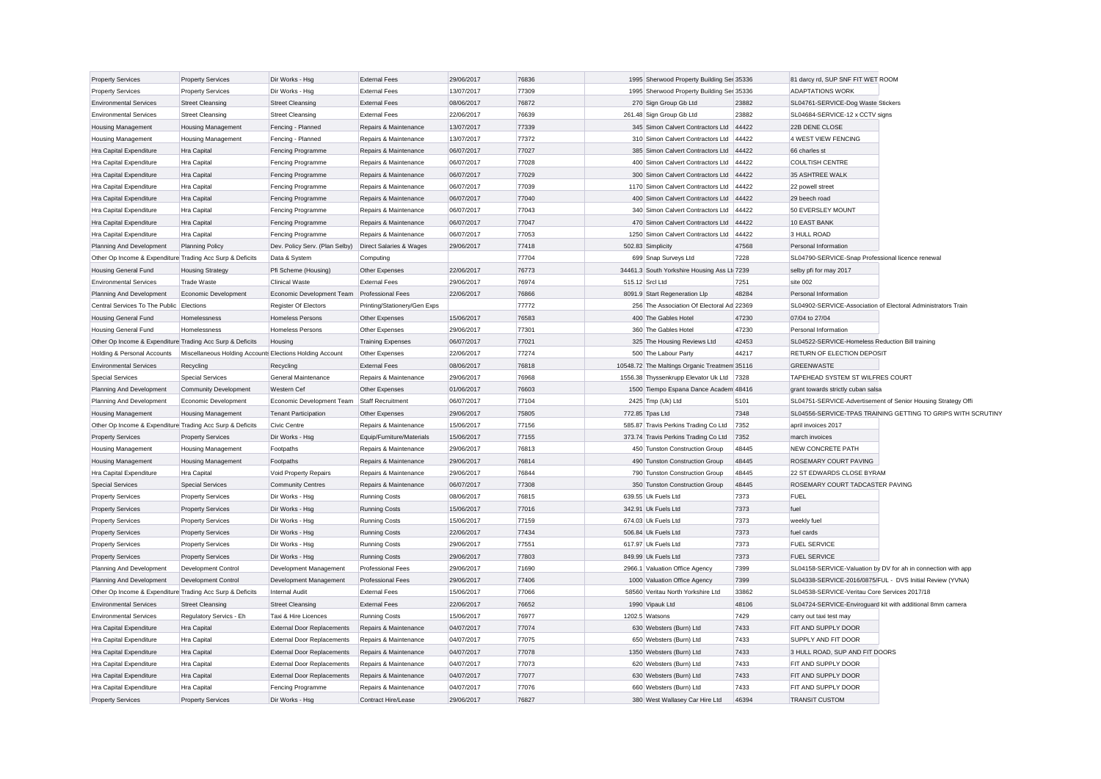| <b>Property Services</b>                                  | <b>Property Services</b>                                 | Dir Works - Hsg                   | <b>External Fees</b>         | 29/06/2017 | 76836 | 1995 Sherwood Property Building Ser 35336    |       | 81 darcy rd, SUP SNF FIT WET ROOM                 |                                                               |
|-----------------------------------------------------------|----------------------------------------------------------|-----------------------------------|------------------------------|------------|-------|----------------------------------------------|-------|---------------------------------------------------|---------------------------------------------------------------|
| <b>Property Services</b>                                  | <b>Property Services</b>                                 | Dir Works - Hsa                   | <b>External Fees</b>         | 13/07/2017 | 77309 | 1995 Sherwood Property Building Ser 35336    |       | <b>ADAPTATIONS WORK</b>                           |                                                               |
| <b>Environmental Services</b>                             | <b>Street Cleansing</b>                                  | <b>Street Cleansing</b>           | <b>External Fees</b>         | 08/06/2017 | 76872 | 270 Sign Group Gb Ltd                        | 23882 | SL04761-SERVICE-Dog Waste Stickers                |                                                               |
| <b>Environmental Services</b>                             | <b>Street Cleansing</b>                                  | <b>Street Cleansing</b>           | <b>External Fees</b>         | 22/06/2017 | 76639 | 261.48 Sign Group Gb Ltd                     | 23882 | SL04684-SERVICE-12 x CCTV signs                   |                                                               |
| <b>Housing Management</b>                                 | <b>Housing Management</b>                                | Fencing - Planned                 | Repairs & Maintenance        | 13/07/2017 | 77339 | 345 Simon Calvert Contractors Ltd            | 44422 | 22B DENE CLOSE                                    |                                                               |
| <b>Housing Management</b>                                 | <b>Housing Management</b>                                | Fencing - Planned                 | Repairs & Maintenance        | 13/07/2017 | 77372 | 310 Simon Calvert Contractors Ltd 44422      |       | 4 WEST VIEW FENCING                               |                                                               |
| <b>Hra Capital Expenditure</b>                            | Hra Capital                                              | Fencing Programme                 | Repairs & Maintenance        | 06/07/2017 | 77027 | 385 Simon Calvert Contractors Ltd 44422      |       | 66 charles st                                     |                                                               |
| Hra Capital Expenditure                                   | Hra Capital                                              | Fencing Programme                 | Repairs & Maintenance        | 06/07/2017 | 77028 | 400 Simon Calvert Contractors Ltd            | 44422 | <b>COULTISH CENTRE</b>                            |                                                               |
| Hra Capital Expenditure                                   | <b>Hra Capital</b>                                       | Fencing Programme                 | Repairs & Maintenance        | 06/07/2017 | 77029 | 300 Simon Calvert Contractors Ltd            | 44422 | 35 ASHTREE WALK                                   |                                                               |
| Hra Capital Expenditure                                   | Hra Capital                                              | Fencing Programme                 | Repairs & Maintenance        | 06/07/2017 | 77039 | 1170 Simon Calvert Contractors Ltd 44422     |       | 22 powell street                                  |                                                               |
| Hra Capital Expenditure                                   | Hra Capital                                              | Fencing Programme                 | Repairs & Maintenance        | 06/07/2017 | 77040 | 400 Simon Calvert Contractors Ltd 44422      |       | 29 beech road                                     |                                                               |
| Hra Capital Expenditure                                   | Hra Capital                                              | Fencing Programme                 | Repairs & Maintenance        | 06/07/2017 | 77043 | 340 Simon Calvert Contractors Ltd            | 44422 | 50 EVERSLEY MOUNT                                 |                                                               |
| Hra Capital Expenditure                                   | <b>Hra Capital</b>                                       | Fencing Programme                 | Repairs & Maintenance        | 06/07/2017 | 77047 | 470 Simon Calvert Contractors Ltd            | 44422 | 10 EAST BANK                                      |                                                               |
| Hra Capital Expenditure                                   | Hra Capital                                              | Fencing Programme                 | Repairs & Maintenance        | 06/07/2017 | 77053 | 1250 Simon Calvert Contractors Ltd 44422     |       | 3 HULL ROAD                                       |                                                               |
| Planning And Development                                  | <b>Planning Policy</b>                                   | Dev. Policy Serv. (Plan Selby)    | Direct Salaries & Wages      | 29/06/2017 | 77418 | 502.83 Simplicity                            | 47568 | Personal Information                              |                                                               |
| Other Op Income & Expenditure Trading Acc Surp & Deficits |                                                          | Data & System                     | Computing                    |            | 77704 | 699 Snap Surveys Ltd                         | 7228  | SL04790-SERVICE-Snap Professional licence renewal |                                                               |
| <b>Housing General Fund</b>                               | <b>Housing Strategy</b>                                  | Pfi Scheme (Housing)              | Other Expenses               | 22/06/2017 | 76773 | 34461.3 South Yorkshire Housing Ass Lt 7239  |       | selby pfi for may 2017                            |                                                               |
| <b>Environmental Services</b>                             | <b>Trade Waste</b>                                       | <b>Clinical Waste</b>             | <b>External Fees</b>         | 29/06/2017 | 76974 | 515.12 Srcl Ltd                              | 7251  | site 002                                          |                                                               |
| Planning And Development                                  | Economic Development                                     | Economic Development Team         | <b>Professional Fees</b>     | 22/06/2017 | 76866 | 8091.9 Start Regeneration Llp                | 48284 | Personal Information                              |                                                               |
| Central Services To The Public                            | Elections                                                | <b>Register Of Electors</b>       | Printing/Stationery/Gen Exps |            | 77772 | 256 The Association Of Electoral Ad 22369    |       |                                                   | SL04902-SERVICE-Association of Electoral Administrators Train |
| <b>Housing General Fund</b>                               | Homelessness                                             | <b>Homeless Persons</b>           | Other Expenses               | 15/06/2017 | 76583 | 400 The Gables Hotel                         | 47230 | 07/04 to 27/04                                    |                                                               |
| Housing General Fund                                      | Homelessness                                             | Homeless Persons                  | Other Expenses               | 29/06/2017 | 77301 | 360 The Gables Hotel                         | 47230 | Personal Information                              |                                                               |
| Other Op Income & Expenditure Trading Acc Surp & Deficits |                                                          | Housing                           | <b>Training Expenses</b>     | 06/07/2017 | 77021 | 325 The Housing Reviews Ltd                  | 42453 | SL04522-SERVICE-Homeless Reduction Bill training  |                                                               |
| Holding & Personal Accounts                               | Miscellaneous Holding Accounts Elections Holding Account |                                   | Other Expenses               | 22/06/2017 | 77274 | 500 The Labour Party                         | 44217 | RETURN OF ELECTION DEPOSIT                        |                                                               |
| <b>Environmental Services</b>                             | Recycling                                                | Recycling                         | <b>External Fees</b>         | 08/06/2017 | 76818 | 10548.72 The Maltings Organic Treatmen 35116 |       | <b>GREENWASTE</b>                                 |                                                               |
| <b>Special Services</b>                                   | <b>Special Services</b>                                  | General Maintenance               | Repairs & Maintenance        | 29/06/2017 | 76968 | 1556.38 Thyssenkrupp Elevator Uk Ltd 7328    |       | TAPEHEAD SYSTEM ST WILFRES COURT                  |                                                               |
| Planning And Development                                  | <b>Community Development</b>                             | Western Cef                       | Other Expenses               | 01/06/2017 | 76603 | 1500 Tiempo Espana Dance Academ 48416        |       | grant towards strictly cuban salsa                |                                                               |
| Planning And Development                                  | Economic Development                                     | Economic Development Team         | Staff Recruitment            | 06/07/2017 | 77104 | 2425 Tmp (Uk) Ltd                            | 5101  |                                                   | SL04751-SERVICE-Advertisement of Senior Housing Strategy Offi |
| <b>Housing Management</b>                                 | <b>Housing Management</b>                                | <b>Tenant Participation</b>       | Other Expenses               | 29/06/2017 | 75805 | 772.85 Tpas Ltd                              | 7348  |                                                   | SL04556-SERVICE-TPAS TRAINING GETTING TO GRIPS WITH SCRUTINY  |
| Other Op Income & Expenditure Trading Acc Surp & Deficits |                                                          | Civic Centre                      | Repairs & Maintenance        | 15/06/2017 | 77156 | 585.87 Travis Perkins Trading Co Ltd         | 7352  | april invoices 2017                               |                                                               |
| <b>Property Services</b>                                  | <b>Property Services</b>                                 | Dir Works - Hsg                   | Equip/Furniture/Materials    | 15/06/2017 | 77155 | 373.74 Travis Perkins Trading Co Ltd         | 7352  | march invoices                                    |                                                               |
| <b>Housing Management</b>                                 | <b>Housing Management</b>                                | Footpaths                         | Repairs & Maintenance        | 29/06/2017 | 76813 | 450 Tunston Construction Group               | 48445 | NEW CONCRETE PATH                                 |                                                               |
| <b>Housing Management</b>                                 | <b>Housing Management</b>                                | Footpaths                         | Repairs & Maintenance        | 29/06/2017 | 76814 | 490 Tunston Construction Group               | 48445 | <b>ROSEMARY COURT PAVING</b>                      |                                                               |
| Hra Capital Expenditure                                   | Hra Capital                                              | Void Property Repairs             | Repairs & Maintenance        | 29/06/2017 | 76844 | 790 Tunston Construction Group               | 48445 | 22 ST EDWARDS CLOSE BYRAM                         |                                                               |
| <b>Special Services</b>                                   | <b>Special Services</b>                                  | <b>Community Centres</b>          | Repairs & Maintenance        | 06/07/2017 | 77308 | 350 Tunston Construction Group               | 48445 | ROSEMARY COURT TADCASTER PAVING                   |                                                               |
| <b>Property Services</b>                                  | <b>Property Services</b>                                 | Dir Works - Hsg                   | <b>Running Costs</b>         | 08/06/2017 | 76815 | 639.55 Uk Fuels Ltd                          | 7373  | <b>FUEL</b>                                       |                                                               |
| <b>Property Services</b>                                  | <b>Property Services</b>                                 | Dir Works - Hsg                   | <b>Running Costs</b>         | 15/06/2017 | 77016 | 342.91 Uk Fuels Ltd                          | 7373  | fuel                                              |                                                               |
| <b>Property Services</b>                                  | <b>Property Services</b>                                 | Dir Works - Hsg                   | <b>Running Costs</b>         | 15/06/2017 | 77159 | 674.03 Uk Fuels Ltd                          | 7373  | weekly fuel                                       |                                                               |
| <b>Property Services</b>                                  | <b>Property Services</b>                                 | Dir Works - Hsg                   | <b>Running Costs</b>         | 22/06/2017 | 77434 | 506.84 Uk Fuels Ltd                          | 7373  | fuel cards                                        |                                                               |
| <b>Property Services</b>                                  | <b>Property Services</b>                                 | Dir Works - Hsg                   | <b>Running Costs</b>         | 29/06/2017 | 77551 | 617.97 Uk Fuels Ltd                          | 7373  | <b>FUEL SERVICE</b>                               |                                                               |
| <b>Property Services</b>                                  | <b>Property Services</b>                                 | Dir Works - Hsa                   | <b>Running Costs</b>         | 29/06/2017 | 77803 | 849.99 Uk Fuels Ltd                          | 7373  | <b>FUEL SERVICE</b>                               |                                                               |
| Planning And Development                                  | Development Control                                      | Development Management            | Professional Fees            | 29/06/2017 | 71690 | 2966.1 Valuation Office Agency               | 7399  |                                                   | SL04158-SERVICE-Valuation by DV for ah in connection with app |
| Planning And Development                                  | Development Control                                      | Development Management            | <b>Professional Fees</b>     | 29/06/2017 | 77406 | 1000 Valuation Office Agency                 | 7399  |                                                   | SL04338-SERVICE-2016/0875/FUL - DVS Initial Review (YVNA)     |
| Other Op Income & Expenditure Trading Acc Surp & Deficits |                                                          | <b>Internal Audit</b>             | <b>External Fees</b>         | 15/06/2017 | 77066 | 58560 Veritau North Yorkshire Ltd            | 33862 | SL04538-SERVICE-Veritau Core Services 2017/18     |                                                               |
| <b>Environmental Services</b>                             | <b>Street Cleansing</b>                                  | <b>Street Cleansing</b>           | <b>External Fees</b>         | 22/06/2017 | 76652 | 1990 Vipauk Ltd                              | 48106 |                                                   | SL04724-SERVICE-Enviroguard kit with additional 8mm camera    |
| <b>Environmental Services</b>                             | Regulatory Servics - Eh                                  | Taxi & Hire Licences              | <b>Running Costs</b>         | 15/06/2017 | 76977 | 1202.5 Watsons                               | 7429  | carry out taxi test may                           |                                                               |
| Hra Capital Expenditure                                   | Hra Capital                                              | <b>External Door Replacements</b> | Repairs & Maintenance        | 04/07/2017 | 77074 | 630 Websters (Burn) Ltd                      | 7433  | FIT AND SUPPLY DOOR                               |                                                               |
| Hra Capital Expenditure                                   | Hra Capital                                              | <b>External Door Replacements</b> | Repairs & Maintenance        | 04/07/2017 | 77075 | 650 Websters (Burn) Ltd                      | 7433  | SUPPLY AND FIT DOOR                               |                                                               |
| Hra Capital Expenditure                                   | Hra Capital                                              | <b>External Door Replacements</b> | Repairs & Maintenance        | 04/07/2017 | 77078 | 1350 Websters (Burn) Ltd                     | 7433  | 3 HULL ROAD, SUP AND FIT DOORS                    |                                                               |
| Hra Capital Expenditure                                   | Hra Capital                                              | <b>External Door Replacements</b> | Repairs & Maintenance        | 04/07/2017 | 77073 | 620 Websters (Burn) Ltd                      | 7433  | FIT AND SUPPLY DOOR                               |                                                               |
| Hra Capital Expenditure                                   | Hra Capital                                              | <b>External Door Replacements</b> | Repairs & Maintenance        | 04/07/2017 | 77077 | 630 Websters (Burn) Ltd                      | 7433  | FIT AND SUPPLY DOOR                               |                                                               |
| Hra Capital Expenditure                                   | <b>Hra Capital</b>                                       | Fencing Programme                 | Repairs & Maintenance        | 04/07/2017 | 77076 | 660 Websters (Burn) Ltd                      | 7433  | FIT AND SUPPLY DOOR                               |                                                               |
| <b>Property Services</b>                                  | <b>Property Services</b>                                 | Dir Works - Hsg                   | Contract Hire/Lease          | 29/06/2017 | 76827 | 380 West Wallasey Car Hire Ltd               | 46394 | <b>TRANSIT CUSTOM</b>                             |                                                               |
|                                                           |                                                          |                                   |                              |            |       |                                              |       |                                                   |                                                               |